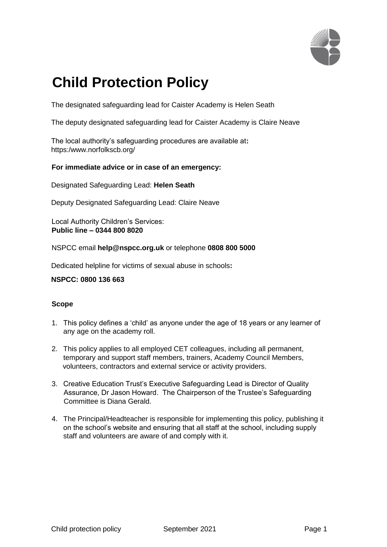

# **Child Protection Policy**

The designated safeguarding lead for Caister Academy is Helen Seath

The deputy designated safeguarding lead for Caister Academy is Claire Neave

The local authority's safeguarding procedures are available at**:**  https:/www.norfolkscb.org/

## **For immediate advice or in case of an emergency:**

Designated Safeguarding Lead: **Helen Seath** 

Deputy Designated Safeguarding Lead: Claire Neave

Local Authority Children's Services: **Public line – 0344 800 8020** 

NSPCC email **help@nspcc.org.uk** or telephone **0808 800 5000** 

Dedicated helpline for victims of sexual abuse in schools**:** 

#### **NSPCC: 0800 136 663**

## **Scope**

- 1. This policy defines a 'child' as anyone under the age of 18 years or any learner of any age on the academy roll.
- 2. This policy applies to all employed CET colleagues, including all permanent, temporary and support staff members, trainers, Academy Council Members, volunteers, contractors and external service or activity providers.
- 3. Creative Education Trust's Executive Safeguarding Lead is Director of Quality Assurance, Dr Jason Howard. The Chairperson of the Trustee's Safeguarding Committee is Diana Gerald.
- 4. The Principal/Headteacher is responsible for implementing this policy, publishing it on the school's website and ensuring that all staff at the school, including supply staff and volunteers are aware of and comply with it.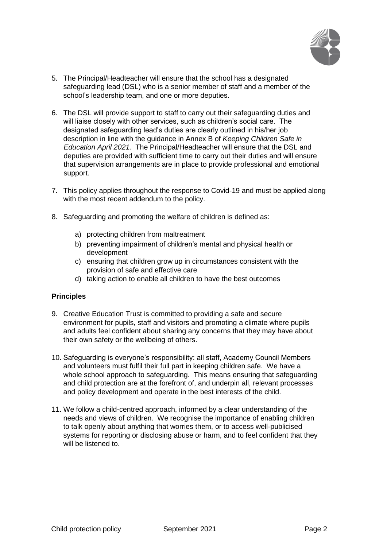

- 5. The Principal/Headteacher will ensure that the school has a designated safeguarding lead (DSL) who is a senior member of staff and a member of the school's leadership team, and one or more deputies.
- 6. The DSL will provide support to staff to carry out their safeguarding duties and will liaise closely with other services, such as children's social care. The designated safeguarding lead's duties are clearly outlined in his/her job description in line with the guidance in Annex B of *Keeping Children Safe in Education April 2021.* The Principal/Headteacher will ensure that the DSL and deputies are provided with sufficient time to carry out their duties and will ensure that supervision arrangements are in place to provide professional and emotional support.
- 7. This policy applies throughout the response to Covid-19 and must be applied along with the most recent addendum to the policy.
- 8. Safeguarding and promoting the welfare of children is defined as:
	- a) protecting children from maltreatment
	- b) preventing impairment of children's mental and physical health or development
	- c) ensuring that children grow up in circumstances consistent with the provision of safe and effective care
	- d) taking action to enable all children to have the best outcomes

#### **Principles**

- 9. Creative Education Trust is committed to providing a safe and secure environment for pupils, staff and visitors and promoting a climate where pupils and adults feel confident about sharing any concerns that they may have about their own safety or the wellbeing of others.
- 10. Safeguarding is everyone's responsibility: all staff, Academy Council Members and volunteers must fulfil their full part in keeping children safe. We have a whole school approach to safeguarding. This means ensuring that safeguarding and child protection are at the forefront of, and underpin all, relevant processes and policy development and operate in the best interests of the child.
- 11. We follow a child-centred approach, informed by a clear understanding of the needs and views of children. We recognise the importance of enabling children to talk openly about anything that worries them, or to access well-publicised systems for reporting or disclosing abuse or harm, and to feel confident that they will be listened to.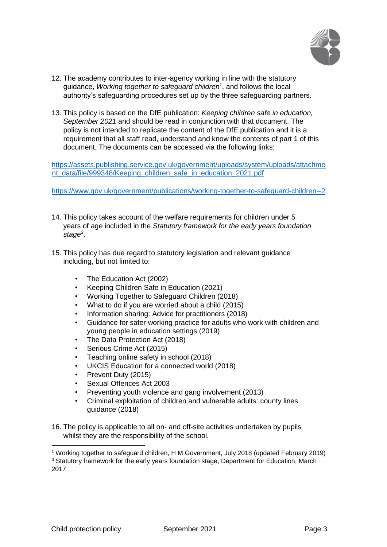

- 12. The academy contributes to inter-agency working in line with the statutory guidance, *Working together to safeguard children<sup>1</sup>* , and follows the local authority's safeguarding procedures set up by the three safeguarding partners.
- 13. This policy is based on the DfE publication: *Keeping children safe in education, September 2021* and should be read in conjunction with that document. The policy is not intended to replicate the content of the DfE publication and it is a requirement that all staff read, understand and know the contents of part 1 of this document. The documents can be accessed via the following links:

[https://assets.publishing.service.gov.uk/government/uploads/system/uploads/attachme](https://assets.publishing.service.gov.uk/government/uploads/system/uploads/attachment_data/file/999348/Keeping_children_safe_in_education_2021.pdf)  [nt\\_data/file/999348/Keeping\\_children\\_safe\\_in\\_education\\_2021.pdf](https://assets.publishing.service.gov.uk/government/uploads/system/uploads/attachment_data/file/999348/Keeping_children_safe_in_education_2021.pdf)

<https://www.gov.uk/government/publications/working-together-to-safeguard-children--2>

- 14. This policy takes account of the welfare requirements for children under 5 years of age included in the *Statutory framework for the early years foundation stage<sup>3</sup>* .
- 15. This policy has due regard to statutory legislation and relevant guidance including, but not limited to:
	- The Education Act (2002)
	- Keeping Children Safe in Education (2021)
	- Working Together to Safeguard Children (2018)
	- What to do if you are worried about a child (2015)
	- Information sharing: Advice for practitioners (2018)
	- Guidance for safer working practice for adults who work with children and young people in education settings (2019)
	- The Data Protection Act (2018)
	- Serious Crime Act (2015)
	- Teaching online safety in school (2018)
	- UKCIS Education for a connected world (2018)
	- Prevent Duty (2015)
	- Sexual Offences Act 2003
	- Preventing youth violence and gang involvement (2013)
	- Criminal exploitation of children and vulnerable adults: county lines guidance (2018)
- 16. The policy is applicable to all on- and off-site activities undertaken by pupils whilst they are the responsibility of the school.

1

<sup>1</sup> Working together to safeguard children, H M Government, July 2018 (updated February 2019)

<sup>3</sup> Statutory framework for the early years foundation stage, Department for Education, March 2017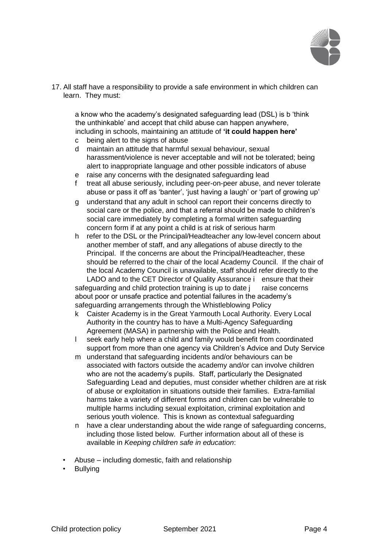

17. All staff have a responsibility to provide a safe environment in which children can learn. They must:

a know who the academy's designated safeguarding lead (DSL) is b 'think the unthinkable' and accept that child abuse can happen anywhere, including in schools, maintaining an attitude of **'it could happen here'**

- c being alert to the signs of abuse
- d maintain an attitude that harmful sexual behaviour, sexual harassment/violence is never acceptable and will not be tolerated; being alert to inappropriate language and other possible indicators of abuse
- e raise any concerns with the designated safeguarding lead
- f treat all abuse seriously, including peer-on-peer abuse, and never tolerate abuse or pass it off as 'banter', 'just having a laugh' or 'part of growing up'
- g understand that any adult in school can report their concerns directly to social care or the police, and that a referral should be made to children's social care immediately by completing a formal written safeguarding concern form if at any point a child is at risk of serious harm
- h refer to the DSL or the Principal/Headteacher any low-level concern about another member of staff, and any allegations of abuse directly to the Principal. If the concerns are about the Principal/Headteacher, these should be referred to the chair of the local Academy Council. If the chair of the local Academy Council is unavailable, staff should refer directly to the LADO and to the CET Director of Quality Assurance i ensure that their safeguarding and child protection training is up to date j raise concerns about poor or unsafe practice and potential failures in the academy's safeguarding arrangements through the Whistleblowing Policy
- k Caister Academy is in the Great Yarmouth Local Authority. Every Local Authority in the country has to have a Multi-Agency Safeguarding Agreement (MASA) in partnership with the Police and Health.
- l seek early help where a child and family would benefit from coordinated support from more than one agency via Children's Advice and Duty Service
- m understand that safeguarding incidents and/or behaviours can be associated with factors outside the academy and/or can involve children who are not the academy's pupils. Staff, particularly the Designated Safeguarding Lead and deputies, must consider whether children are at risk of abuse or exploitation in situations outside their families. Extra-familial harms take a variety of different forms and children can be vulnerable to multiple harms including sexual exploitation, criminal exploitation and serious youth violence. This is known as contextual safeguarding
- n have a clear understanding about the wide range of safeguarding concerns, including those listed below. Further information about all of these is available in *Keeping children safe in education*:
- Abuse including domestic, faith and relationship
- **Bullying**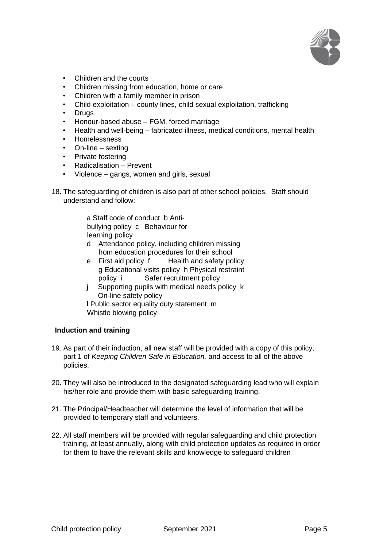

- Children and the courts
- Children missing from education, home or care
- Children with a family member in prison
- Child exploitation county lines, child sexual exploitation, trafficking
- **Drugs**
- Honour-based abuse FGM, forced marriage
- Health and well-being fabricated illness, medical conditions, mental health
- Homelessness
- On-line sexting
- Private fostering
- Radicalisation Prevent
- Violence gangs, women and girls, sexual
- 18. The safeguarding of children is also part of other school policies. Staff should understand and follow:
	- a Staff code of conduct b Antibullying policy c Behaviour for learning policy
	- d Attendance policy, including children missing from education procedures for their school
	- e First aid policy f Health and safety policy g Educational visits policy h Physical restraint policy i Safer recruitment policy
	- j Supporting pupils with medical needs policy k On-line safety policy

l Public sector equality duty statement m Whistle blowing policy

## **Induction and training**

- 19. As part of their induction, all new staff will be provided with a copy of this policy, part 1 of *Keeping Children Safe in Education,* and access to all of the above policies.
- 20. They will also be introduced to the designated safeguarding lead who will explain his/her role and provide them with basic safeguarding training.
- 21. The Principal/Headteacher will determine the level of information that will be provided to temporary staff and volunteers.
- 22. All staff members will be provided with regular safeguarding and child protection training, at least annually, along with child protection updates as required in order for them to have the relevant skills and knowledge to safeguard children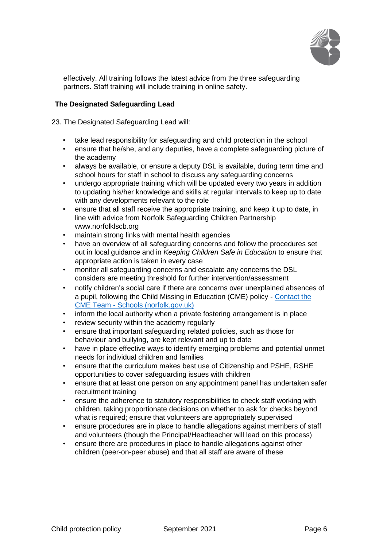

effectively. All training follows the latest advice from the three safeguarding partners. Staff training will include training in online safety.

# **The Designated Safeguarding Lead**

23. The Designated Safeguarding Lead will:

- take lead responsibility for safeguarding and child protection in the school
- ensure that he/she, and any deputies, have a complete safeguarding picture of the academy
- always be available, or ensure a deputy DSL is available, during term time and school hours for staff in school to discuss any safeguarding concerns
- undergo appropriate training which will be updated every two years in addition to updating his/her knowledge and skills at regular intervals to keep up to date with any developments relevant to the role
- ensure that all staff receive the appropriate training, and keep it up to date, in line with advice from Norfolk Safeguarding Children Partnership www.norfolklscb.org
- maintain strong links with mental health agencies
- have an overview of all safeguarding concerns and follow the procedures set out in local guidance and in *Keeping Children Safe in Education* to ensure that appropriate action is taken in every case
- monitor all safeguarding concerns and escalate any concerns the DSL considers are meeting threshold for further intervention/assessment
- notify children's social care if there are concerns over unexplained absences of a pupil, following the Child Missing in Education (CME) policy [-](https://www.schools.norfolk.gov.uk/pupil-safety-and-behaviour/children-missing-education/contact-the-cme-team) [Contact the](https://www.schools.norfolk.gov.uk/pupil-safety-and-behaviour/children-missing-education/contact-the-cme-team) [CME Team -](https://www.schools.norfolk.gov.uk/pupil-safety-and-behaviour/children-missing-education/contact-the-cme-team) [Schools \(norfolk.gov.uk\)](https://www.schools.norfolk.gov.uk/pupil-safety-and-behaviour/children-missing-education/contact-the-cme-team)
- inform the local authority when a private fostering arrangement is in place
- review security within the academy regularly
- ensure that important safeguarding related policies, such as those for behaviour and bullying, are kept relevant and up to date
- have in place effective ways to identify emerging problems and potential unmet needs for individual children and families
- ensure that the curriculum makes best use of Citizenship and PSHE, RSHE opportunities to cover safeguarding issues with children
- ensure that at least one person on any appointment panel has undertaken safer recruitment training
- ensure the adherence to statutory responsibilities to check staff working with children, taking proportionate decisions on whether to ask for checks beyond what is required; ensure that volunteers are appropriately supervised
- ensure procedures are in place to handle allegations against members of staff and volunteers (though the Principal/Headteacher will lead on this process)
- ensure there are procedures in place to handle allegations against other children (peer-on-peer abuse) and that all staff are aware of these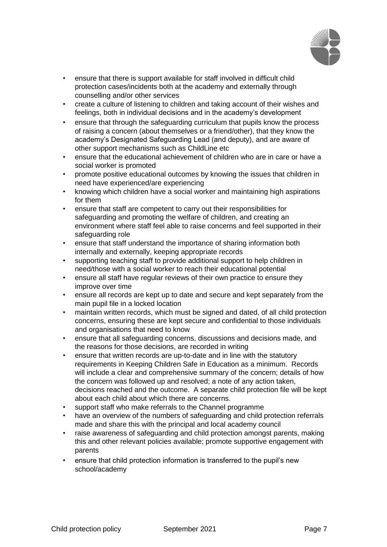

- ensure that there is support available for staff involved in difficult child protection cases/incidents both at the academy and externally through counselling and/or other services
- create a culture of listening to children and taking account of their wishes and feelings, both in individual decisions and in the academy's development
- ensure that through the safeguarding curriculum that pupils know the process of raising a concern (about themselves or a friend/other), that they know the academy's Designated Safeguarding Lead (and deputy), and are aware of other support mechanisms such as ChildLine etc
- ensure that the educational achievement of children who are in care or have a social worker is promoted
- promote positive educational outcomes by knowing the issues that children in need have experienced/are experiencing
- knowing which children have a social worker and maintaining high aspirations for them
- ensure that staff are competent to carry out their responsibilities for safeguarding and promoting the welfare of children, and creating an environment where staff feel able to raise concerns and feel supported in their safeguarding role
- ensure that staff understand the importance of sharing information both internally and externally, keeping appropriate records
- supporting teaching staff to provide additional support to help children in need/those with a social worker to reach their educational potential
- ensure all staff have regular reviews of their own practice to ensure they improve over time
- ensure all records are kept up to date and secure and kept separately from the main pupil file in a locked location
- maintain written records, which must be signed and dated, of all child protection concerns, ensuring these are kept secure and confidential to those individuals and organisations that need to know
- ensure that all safeguarding concerns, discussions and decisions made, and the reasons for those decisions, are recorded in writing
- ensure that written records are up-to-date and in line with the statutory requirements in Keeping Children Safe in Education as a minimum. Records will include a clear and comprehensive summary of the concern; details of how the concern was followed up and resolved; a note of any action taken, decisions reached and the outcome. A separate child protection file will be kept about each child about which there are concerns.
- support staff who make referrals to the Channel programme
- have an overview of the numbers of safeguarding and child protection referrals made and share this with the principal and local academy council
- raise awareness of safeguarding and child protection amongst parents, making this and other relevant policies available; promote supportive engagement with parents
- ensure that child protection information is transferred to the pupil's new school/academy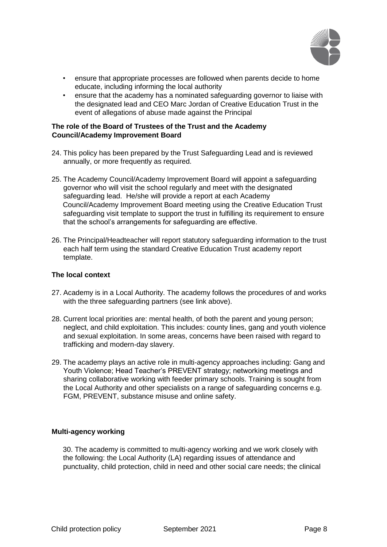

- ensure that appropriate processes are followed when parents decide to home educate, including informing the local authority
- ensure that the academy has a nominated safeguarding governor to liaise with the designated lead and CEO Marc Jordan of Creative Education Trust in the event of allegations of abuse made against the Principal

## **The role of the Board of Trustees of the Trust and the Academy Council/Academy Improvement Board**

- 24. This policy has been prepared by the Trust Safeguarding Lead and is reviewed annually, or more frequently as required.
- 25. The Academy Council/Academy Improvement Board will appoint a safeguarding governor who will visit the school regularly and meet with the designated safeguarding lead. He/she will provide a report at each Academy Council/Academy Improvement Board meeting using the Creative Education Trust safeguarding visit template to support the trust in fulfilling its requirement to ensure that the school's arrangements for safeguarding are effective.
- 26. The Principal/Headteacher will report statutory safeguarding information to the trust each half term using the standard Creative Education Trust academy report template.

## **The local context**

- 27. Academy is in a Local Authority. The academy follows the procedures of and works with the three safeguarding partners (see link above).
- 28. Current local priorities are: mental health, of both the parent and young person; neglect, and child exploitation. This includes: county lines, gang and youth violence and sexual exploitation. In some areas, concerns have been raised with regard to trafficking and modern-day slavery.
- 29. The academy plays an active role in multi-agency approaches including: Gang and Youth Violence; Head Teacher's PREVENT strategy; networking meetings and sharing collaborative working with feeder primary schools. Training is sought from the Local Authority and other specialists on a range of safeguarding concerns e.g. FGM, PREVENT, substance misuse and online safety.

## **Multi-agency working**

30. The academy is committed to multi-agency working and we work closely with the following: the Local Authority (LA) regarding issues of attendance and punctuality, child protection, child in need and other social care needs; the clinical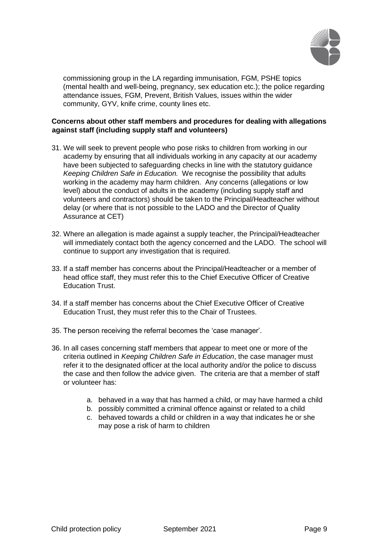

commissioning group in the LA regarding immunisation, FGM, PSHE topics (mental health and well-being, pregnancy, sex education etc.); the police regarding attendance issues, FGM, Prevent, British Values, issues within the wider community, GYV, knife crime, county lines etc.

## **Concerns about other staff members and procedures for dealing with allegations against staff (including supply staff and volunteers)**

- 31. We will seek to prevent people who pose risks to children from working in our academy by ensuring that all individuals working in any capacity at our academy have been subjected to safeguarding checks in line with the statutory guidance *Keeping Children Safe in Education.* We recognise the possibility that adults working in the academy may harm children. Any concerns (allegations or low level) about the conduct of adults in the academy (including supply staff and volunteers and contractors) should be taken to the Principal/Headteacher without delay (or where that is not possible to the LADO and the Director of Quality Assurance at CET)
- 32. Where an allegation is made against a supply teacher, the Principal/Headteacher will immediately contact both the agency concerned and the LADO. The school will continue to support any investigation that is required.
- 33. If a staff member has concerns about the Principal/Headteacher or a member of head office staff, they must refer this to the Chief Executive Officer of Creative Education Trust.
- 34. If a staff member has concerns about the Chief Executive Officer of Creative Education Trust, they must refer this to the Chair of Trustees.
- 35. The person receiving the referral becomes the 'case manager'.
- 36. In all cases concerning staff members that appear to meet one or more of the criteria outlined in *Keeping Children Safe in Education*, the case manager must refer it to the designated officer at the local authority and/or the police to discuss the case and then follow the advice given. The criteria are that a member of staff or volunteer has:
	- a. behaved in a way that has harmed a child, or may have harmed a child
	- b. possibly committed a criminal offence against or related to a child
	- c. behaved towards a child or children in a way that indicates he or she may pose a risk of harm to children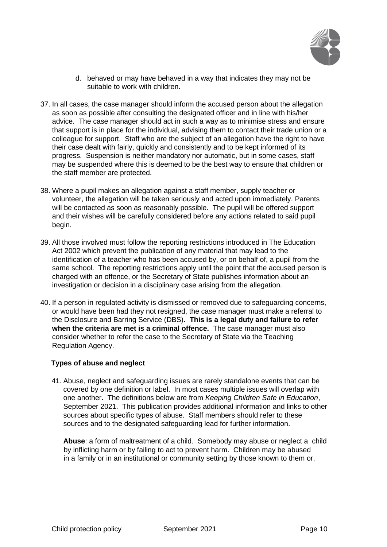

- d. behaved or may have behaved in a way that indicates they may not be suitable to work with children.
- 37. In all cases, the case manager should inform the accused person about the allegation as soon as possible after consulting the designated officer and in line with his/her advice. The case manager should act in such a way as to minimise stress and ensure that support is in place for the individual, advising them to contact their trade union or a colleague for support. Staff who are the subject of an allegation have the right to have their case dealt with fairly, quickly and consistently and to be kept informed of its progress. Suspension is neither mandatory nor automatic, but in some cases, staff may be suspended where this is deemed to be the best way to ensure that children or the staff member are protected.
- 38. Where a pupil makes an allegation against a staff member, supply teacher or volunteer, the allegation will be taken seriously and acted upon immediately. Parents will be contacted as soon as reasonably possible. The pupil will be offered support and their wishes will be carefully considered before any actions related to said pupil begin.
- 39. All those involved must follow the reporting restrictions introduced in The Education Act 2002 which prevent the publication of any material that may lead to the identification of a teacher who has been accused by, or on behalf of, a pupil from the same school. The reporting restrictions apply until the point that the accused person is charged with an offence, or the Secretary of State publishes information about an investigation or decision in a disciplinary case arising from the allegation.
- 40. If a person in regulated activity is dismissed or removed due to safeguarding concerns, or would have been had they not resigned, the case manager must make a referral to the Disclosure and Barring Service (DBS). **This is a legal duty and failure to refer when the criteria are met is a criminal offence.** The case manager must also consider whether to refer the case to the Secretary of State via the Teaching Regulation Agency.

## **Types of abuse and neglect**

41. Abuse, neglect and safeguarding issues are rarely standalone events that can be covered by one definition or label. In most cases multiple issues will overlap with one another. The definitions below are from *Keeping Children Safe in Education*, September 2021. This publication provides additional information and links to other sources about specific types of abuse. Staff members should refer to these sources and to the designated safeguarding lead for further information.

**Abuse**: a form of maltreatment of a child. Somebody may abuse or neglect a child by inflicting harm or by failing to act to prevent harm. Children may be abused in a family or in an institutional or community setting by those known to them or,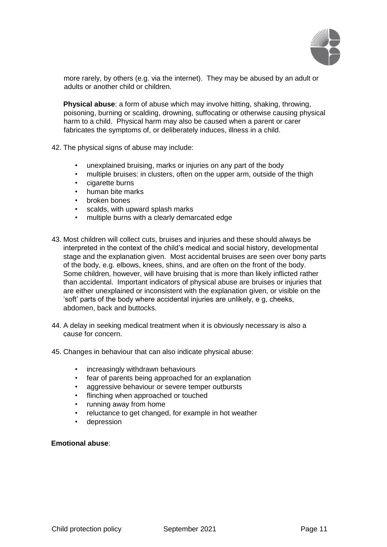

more rarely, by others (e.g. via the internet). They may be abused by an adult or adults or another child or children.

**Physical abuse**: a form of abuse which may involve hitting, shaking, throwing, poisoning, burning or scalding, drowning, suffocating or otherwise causing physical harm to a child. Physical harm may also be caused when a parent or carer fabricates the symptoms of, or deliberately induces, illness in a child.

- 42. The physical signs of abuse may include:
	- unexplained bruising, marks or injuries on any part of the body
	- multiple bruises: in clusters, often on the upper arm, outside of the thigh
	- cigarette burns
	- human bite marks
	- broken bones
	- scalds, with upward splash marks
	- multiple burns with a clearly demarcated edge
- 43. Most children will collect cuts, bruises and injuries and these should always be interpreted in the context of the child's medical and social history, developmental stage and the explanation given. Most accidental bruises are seen over bony parts of the body, e.g. elbows, knees, shins, and are often on the front of the body. Some children, however, will have bruising that is more than likely inflicted rather than accidental. Important indicators of physical abuse are bruises or injuries that are either unexplained or inconsistent with the explanation given, or visible on the 'soft' parts of the body where accidental injuries are unlikely, e g, cheeks, abdomen, back and buttocks.
- 44. A delay in seeking medical treatment when it is obviously necessary is also a cause for concern.
- 45. Changes in behaviour that can also indicate physical abuse:
	- increasingly withdrawn behaviours
	- fear of parents being approached for an explanation
	- aggressive behaviour or severe temper outbursts
	- flinching when approached or touched
	- running away from home
	- reluctance to get changed, for example in hot weather
	- depression

## **Emotional abuse**: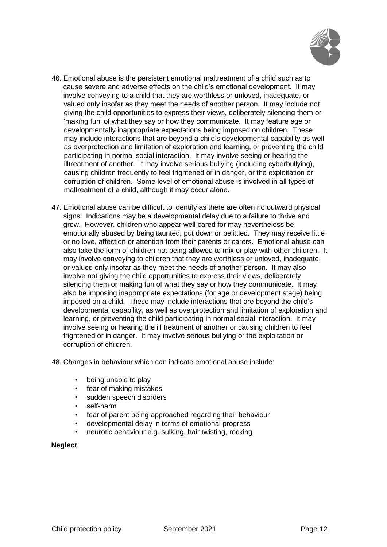

- 46. Emotional abuse is the persistent emotional maltreatment of a child such as to cause severe and adverse effects on the child's emotional development. It may involve conveying to a child that they are worthless or unloved, inadequate, or valued only insofar as they meet the needs of another person. It may include not giving the child opportunities to express their views, deliberately silencing them or 'making fun' of what they say or how they communicate. It may feature age or developmentally inappropriate expectations being imposed on children. These may include interactions that are beyond a child's developmental capability as well as overprotection and limitation of exploration and learning, or preventing the child participating in normal social interaction. It may involve seeing or hearing the illtreatment of another. It may involve serious bullying (including cyberbullying), causing children frequently to feel frightened or in danger, or the exploitation or corruption of children. Some level of emotional abuse is involved in all types of maltreatment of a child, although it may occur alone.
- 47. Emotional abuse can be difficult to identify as there are often no outward physical signs. Indications may be a developmental delay due to a failure to thrive and grow. However, children who appear well cared for may nevertheless be emotionally abused by being taunted, put down or belittled. They may receive little or no love, affection or attention from their parents or carers. Emotional abuse can also take the form of children not being allowed to mix or play with other children. It may involve conveying to children that they are worthless or unloved, inadequate, or valued only insofar as they meet the needs of another person. It may also involve not giving the child opportunities to express their views, deliberately silencing them or making fun of what they say or how they communicate. It may also be imposing inappropriate expectations (for age or development stage) being imposed on a child. These may include interactions that are beyond the child's developmental capability, as well as overprotection and limitation of exploration and learning, or preventing the child participating in normal social interaction. It may involve seeing or hearing the ill treatment of another or causing children to feel frightened or in danger. It may involve serious bullying or the exploitation or corruption of children.

48. Changes in behaviour which can indicate emotional abuse include:

- being unable to play
- fear of making mistakes
- sudden speech disorders
- self-harm
- fear of parent being approached regarding their behaviour
- developmental delay in terms of emotional progress
- neurotic behaviour e.g. sulking, hair twisting, rocking

## **Neglect**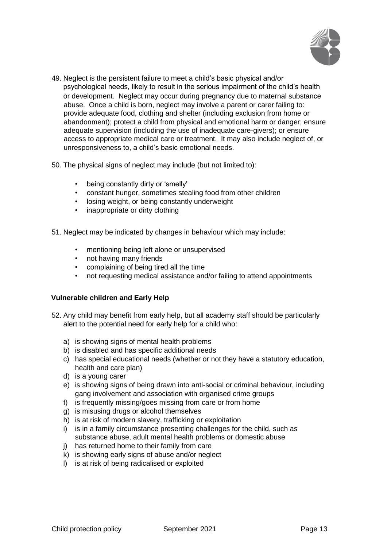

- 49. Neglect is the persistent failure to meet a child's basic physical and/or psychological needs, likely to result in the serious impairment of the child's health or development. Neglect may occur during pregnancy due to maternal substance abuse. Once a child is born, neglect may involve a parent or carer failing to: provide adequate food, clothing and shelter (including exclusion from home or abandonment); protect a child from physical and emotional harm or danger; ensure adequate supervision (including the use of inadequate care-givers); or ensure access to appropriate medical care or treatment. It may also include neglect of, or unresponsiveness to, a child's basic emotional needs.
- 50. The physical signs of neglect may include (but not limited to):
	- being constantly dirty or 'smelly'
	- constant hunger, sometimes stealing food from other children
	- losing weight, or being constantly underweight
	- inappropriate or dirty clothing
- 51. Neglect may be indicated by changes in behaviour which may include:
	- mentioning being left alone or unsupervised
	- not having many friends
	- complaining of being tired all the time
	- not requesting medical assistance and/or failing to attend appointments

## **Vulnerable children and Early Help**

- 52. Any child may benefit from early help, but all academy staff should be particularly alert to the potential need for early help for a child who:
	- a) is showing signs of mental health problems
	- b) is disabled and has specific additional needs
	- c) has special educational needs (whether or not they have a statutory education, health and care plan)
	- d) is a young carer
	- e) is showing signs of being drawn into anti-social or criminal behaviour, including gang involvement and association with organised crime groups
	- f) is frequently missing/goes missing from care or from home
	- g) is misusing drugs or alcohol themselves
	- h) is at risk of modern slavery, trafficking or exploitation
	- i) is in a family circumstance presenting challenges for the child, such as substance abuse, adult mental health problems or domestic abuse
	- j) has returned home to their family from care
	- k) is showing early signs of abuse and/or neglect
	- l) is at risk of being radicalised or exploited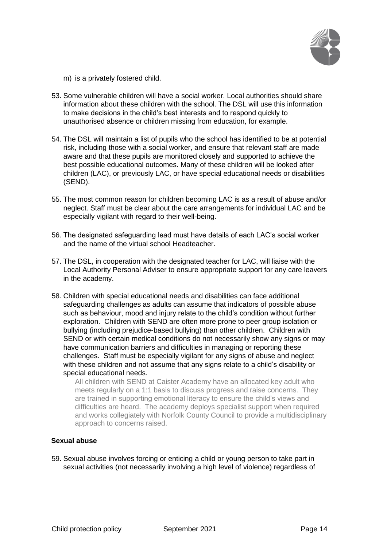

m) is a privately fostered child.

- 53. Some vulnerable children will have a social worker. Local authorities should share information about these children with the school. The DSL will use this information to make decisions in the child's best interests and to respond quickly to unauthorised absence or children missing from education, for example.
- 54. The DSL will maintain a list of pupils who the school has identified to be at potential risk, including those with a social worker, and ensure that relevant staff are made aware and that these pupils are monitored closely and supported to achieve the best possible educational outcomes. Many of these children will be looked after children (LAC), or previously LAC, or have special educational needs or disabilities (SEND).
- 55. The most common reason for children becoming LAC is as a result of abuse and/or neglect. Staff must be clear about the care arrangements for individual LAC and be especially vigilant with regard to their well-being.
- 56. The designated safeguarding lead must have details of each LAC's social worker and the name of the virtual school Headteacher.
- 57. The DSL, in cooperation with the designated teacher for LAC, will liaise with the Local Authority Personal Adviser to ensure appropriate support for any care leavers in the academy.
- 58. Children with special educational needs and disabilities can face additional safeguarding challenges as adults can assume that indicators of possible abuse such as behaviour, mood and injury relate to the child's condition without further exploration. Children with SEND are often more prone to peer group isolation or bullying (including prejudice-based bullying) than other children. Children with SEND or with certain medical conditions do not necessarily show any signs or may have communication barriers and difficulties in managing or reporting these challenges. Staff must be especially vigilant for any signs of abuse and neglect with these children and not assume that any signs relate to a child's disability or special educational needs.

All children with SEND at Caister Academy have an allocated key adult who meets regularly on a 1:1 basis to discuss progress and raise concerns. They are trained in supporting emotional literacy to ensure the child's views and difficulties are heard. The academy deploys specialist support when required and works collegiately with Norfolk County Council to provide a multidisciplinary approach to concerns raised.

# **Sexual abuse**

59. Sexual abuse involves forcing or enticing a child or young person to take part in sexual activities (not necessarily involving a high level of violence) regardless of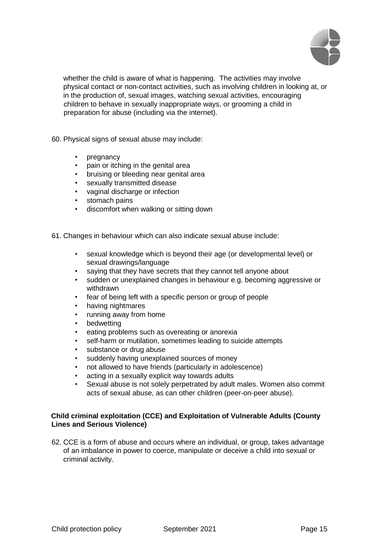

whether the child is aware of what is happening. The activities may involve physical contact or non-contact activities, such as involving children in looking at, or in the production of, sexual images, watching sexual activities, encouraging children to behave in sexually inappropriate ways, or grooming a child in preparation for abuse (including via the internet).

60. Physical signs of sexual abuse may include:

- pregnancy
- pain or itching in the genital area
- bruising or bleeding near genital area
- sexually transmitted disease
- vaginal discharge or infection
- stomach pains
- discomfort when walking or sitting down

61. Changes in behaviour which can also indicate sexual abuse include:

- sexual knowledge which is beyond their age (or developmental level) or sexual drawings/language
- saying that they have secrets that they cannot tell anyone about
- sudden or unexplained changes in behaviour e.g. becoming aggressive or withdrawn
- fear of being left with a specific person or group of people
- having nightmares
- running away from home
- **bedwetting**
- eating problems such as overeating or anorexia
- self-harm or mutilation, sometimes leading to suicide attempts
- substance or drug abuse
- suddenly having unexplained sources of money
- not allowed to have friends (particularly in adolescence)
- acting in a sexually explicit way towards adults
- Sexual abuse is not solely perpetrated by adult males. Women also commit acts of sexual abuse, as can other children (peer-on-peer abuse).

# **Child criminal exploitation (CCE) and Exploitation of Vulnerable Adults (County Lines and Serious Violence)**

62. CCE is a form of abuse and occurs where an individual, or group, takes advantage of an imbalance in power to coerce, manipulate or deceive a child into sexual or criminal activity.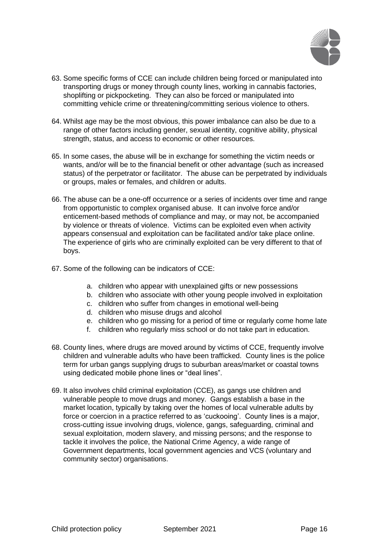

- 63. Some specific forms of CCE can include children being forced or manipulated into transporting drugs or money through county lines, working in cannabis factories, shoplifting or pickpocketing. They can also be forced or manipulated into committing vehicle crime or threatening/committing serious violence to others.
- 64. Whilst age may be the most obvious, this power imbalance can also be due to a range of other factors including gender, sexual identity, cognitive ability, physical strength, status, and access to economic or other resources.
- 65. In some cases, the abuse will be in exchange for something the victim needs or wants, and/or will be to the financial benefit or other advantage (such as increased status) of the perpetrator or facilitator. The abuse can be perpetrated by individuals or groups, males or females, and children or adults.
- 66. The abuse can be a one-off occurrence or a series of incidents over time and range from opportunistic to complex organised abuse. It can involve force and/or enticement-based methods of compliance and may, or may not, be accompanied by violence or threats of violence. Victims can be exploited even when activity appears consensual and exploitation can be facilitated and/or take place online. The experience of girls who are criminally exploited can be very different to that of boys.
- 67. Some of the following can be indicators of CCE:
	- a. children who appear with unexplained gifts or new possessions
	- b. children who associate with other young people involved in exploitation
	- c. children who suffer from changes in emotional well-being
	- d. children who misuse drugs and alcohol
	- e. children who go missing for a period of time or regularly come home late
	- f. children who regularly miss school or do not take part in education.
- 68. County lines, where drugs are moved around by victims of CCE, frequently involve children and vulnerable adults who have been trafficked. County lines is the police term for urban gangs supplying drugs to suburban areas/market or coastal towns using dedicated mobile phone lines or "deal lines".
- 69. It also involves child criminal exploitation (CCE), as gangs use children and vulnerable people to move drugs and money. Gangs establish a base in the market location, typically by taking over the homes of local vulnerable adults by force or coercion in a practice referred to as 'cuckooing'. County lines is a major, cross-cutting issue involving drugs, violence, gangs, safeguarding, criminal and sexual exploitation, modern slavery, and missing persons; and the response to tackle it involves the police, the National Crime Agency, a wide range of Government departments, local government agencies and VCS (voluntary and community sector) organisations.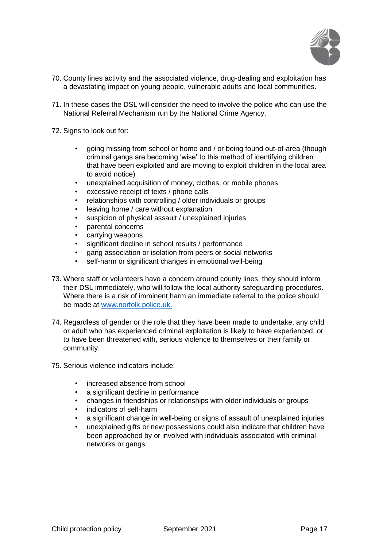

- 70. County lines activity and the associated violence, drug-dealing and exploitation has a devastating impact on young people, vulnerable adults and local communities.
- 71. In these cases the DSL will consider the need to involve the police who can use the National Referral Mechanism run by the National Crime Agency.
- 72. Signs to look out for:
	- going missing from school or home and / or being found out-of-area (though criminal gangs are becoming 'wise' to this method of identifying children that have been exploited and are moving to exploit children in the local area to avoid notice)
	- unexplained acquisition of money, clothes, or mobile phones
	- excessive receipt of texts / phone calls
	- relationships with controlling / older individuals or groups
	- leaving home / care without explanation
	- suspicion of physical assault / unexplained injuries
	- parental concerns
	- carrying weapons
	- significant decline in school results / performance
	- gang association or isolation from peers or social networks
	- self-harm or significant changes in emotional well-being
- 73. Where staff or volunteers have a concern around county lines, they should inform their DSL immediately, who will follow the local authority safeguarding procedures. Where there is a risk of imminent harm an immediate referral to the police should be made a[t](http://www.norfolk.police.uk/) [www.norfolk.police.uk.](http://www.norfolk.police.uk/)
- 74. Regardless of gender or the role that they have been made to undertake, any child or adult who has experienced criminal exploitation is likely to have experienced, or to have been threatened with, serious violence to themselves or their family or community.
- 75. Serious violence indicators include:
	- increased absence from school
	- a significant decline in performance
	- changes in friendships or relationships with older individuals or groups
	- indicators of self-harm
	- a significant change in well-being or signs of assault of unexplained injuries
	- unexplained gifts or new possessions could also indicate that children have been approached by or involved with individuals associated with criminal networks or gangs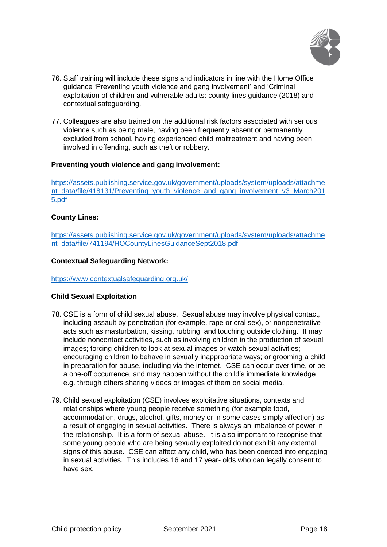

- 76. Staff training will include these signs and indicators in line with the Home Office guidance 'Preventing youth violence and gang involvement' and 'Criminal exploitation of children and vulnerable adults: county lines guidance (2018) and contextual safeguarding.
- 77. Colleagues are also trained on the additional risk factors associated with serious violence such as being male, having been frequently absent or permanently excluded from school, having experienced child maltreatment and having been involved in offending, such as theft or robbery.

## **Preventing youth violence and gang involvement:**

[https://assets.publishing.service.gov.uk/government/uploads/system/uploads/attachme](https://assets.publishing.service.gov.uk/government/uploads/system/uploads/attachment_data/file/418131/Preventing_youth_violence_and_gang_involvement_v3_March2015.pdf)  [nt\\_data/file/418131/Preventing\\_youth\\_violence\\_and\\_gang\\_involvement\\_v3\\_March201](https://assets.publishing.service.gov.uk/government/uploads/system/uploads/attachment_data/file/418131/Preventing_youth_violence_and_gang_involvement_v3_March2015.pdf) [5.pdf](https://assets.publishing.service.gov.uk/government/uploads/system/uploads/attachment_data/file/418131/Preventing_youth_violence_and_gang_involvement_v3_March2015.pdf)

#### **County Lines:**

[https://assets.publishing.service.gov.uk/government/uploads/system/uploads/attachme](https://assets.publishing.service.gov.uk/government/uploads/system/uploads/attachment_data/file/741194/HOCountyLinesGuidanceSept2018.pdf)  [nt\\_data/file/741194/HOCountyLinesGuidanceSept2018.pdf](https://assets.publishing.service.gov.uk/government/uploads/system/uploads/attachment_data/file/741194/HOCountyLinesGuidanceSept2018.pdf)

#### **Contextual Safeguarding Network:**

<https://www.contextualsafeguarding.org.uk/>

## **Child Sexual Exploitation**

- 78. CSE is a form of child sexual abuse. Sexual abuse may involve physical contact, including assault by penetration (for example, rape or oral sex), or nonpenetrative acts such as masturbation, kissing, rubbing, and touching outside clothing. It may include noncontact activities, such as involving children in the production of sexual images; forcing children to look at sexual images or watch sexual activities; encouraging children to behave in sexually inappropriate ways; or grooming a child in preparation for abuse, including via the internet. CSE can occur over time, or be a one-off occurrence, and may happen without the child's immediate knowledge e.g. through others sharing videos or images of them on social media.
- 79. Child sexual exploitation (CSE) involves exploitative situations, contexts and relationships where young people receive something (for example food, accommodation, drugs, alcohol, gifts, money or in some cases simply affection) as a result of engaging in sexual activities. There is always an imbalance of power in the relationship. It is a form of sexual abuse. It is also important to recognise that some young people who are being sexually exploited do not exhibit any external signs of this abuse. CSE can affect any child, who has been coerced into engaging in sexual activities. This includes 16 and 17 year- olds who can legally consent to have sex.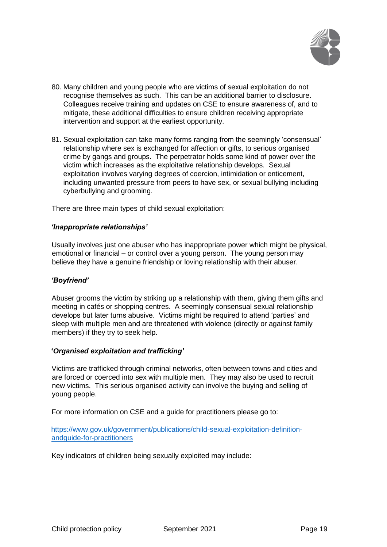

- 80. Many children and young people who are victims of sexual exploitation do not recognise themselves as such. This can be an additional barrier to disclosure. Colleagues receive training and updates on CSE to ensure awareness of, and to mitigate, these additional difficulties to ensure children receiving appropriate intervention and support at the earliest opportunity.
- 81. Sexual exploitation can take many forms ranging from the seemingly 'consensual' relationship where sex is exchanged for affection or gifts, to serious organised crime by gangs and groups. The perpetrator holds some kind of power over the victim which increases as the exploitative relationship develops. Sexual exploitation involves varying degrees of coercion, intimidation or enticement, including unwanted pressure from peers to have sex, or sexual bullying including cyberbullying and grooming.

There are three main types of child sexual exploitation:

#### *'Inappropriate relationships'*

Usually involves just one abuser who has inappropriate power which might be physical, emotional or financial – or control over a young person. The young person may believe they have a genuine friendship or loving relationship with their abuser.

## *'Boyfriend'*

Abuser grooms the victim by striking up a relationship with them, giving them gifts and meeting in cafés or shopping centres. A seemingly consensual sexual relationship develops but later turns abusive. Victims might be required to attend 'parties' and sleep with multiple men and are threatened with violence (directly or against family members) if they try to seek help.

## **'***Organised exploitation and trafficking'*

Victims are trafficked through criminal networks, often between towns and cities and are forced or coerced into sex with multiple men. They may also be used to recruit new victims. This serious organised activity can involve the buying and selling of young people.

For more information on CSE and a guide for practitioners please go to:

[https://www.gov.uk/government/publications/child-sexual-exploitation-definition](https://www.gov.uk/government/publications/child-sexual-exploitation-definition-and-guide-for-practitioners)[andguide-for-practitioners](https://www.gov.uk/government/publications/child-sexual-exploitation-definition-and-guide-for-practitioners)

Key indicators of children being sexually exploited may include: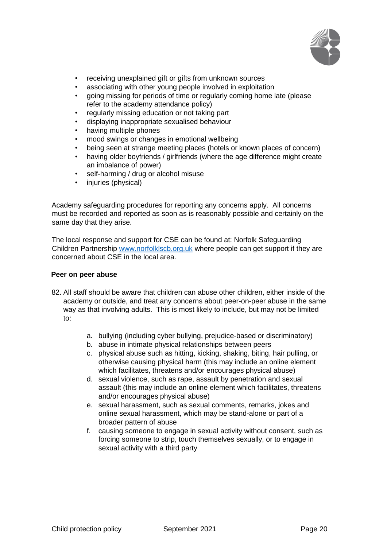

- receiving unexplained gift or gifts from unknown sources
- associating with other young people involved in exploitation
- going missing for periods of time or regularly coming home late (please refer to the academy attendance policy)
- regularly missing education or not taking part
- displaying inappropriate sexualised behaviour
- having multiple phones
- mood swings or changes in emotional wellbeing
- being seen at strange meeting places (hotels or known places of concern)
- having older boyfriends / girlfriends (where the age difference might create an imbalance of power)
- self-harming / drug or alcohol misuse
- injuries (physical)

Academy safeguarding procedures for reporting any concerns apply. All concerns must be recorded and reported as soon as is reasonably possible and certainly on the same day that they arise.

The local response and support for CSE can be found at: Norfolk Safeguarding Children Partnershi[p](http://www.norfolklscb.org.uk/) [www.norfolklscb.org.uk](http://www.norfolklscb.org.uk/) where people can get support if they are concerned about CSE in the local area.

## **Peer on peer abuse**

- 82. All staff should be aware that children can abuse other children, either inside of the academy or outside, and treat any concerns about peer-on-peer abuse in the same way as that involving adults. This is most likely to include, but may not be limited to:
	- a. bullying (including cyber bullying, prejudice-based or discriminatory)
	- b. abuse in intimate physical relationships between peers
	- c. physical abuse such as hitting, kicking, shaking, biting, hair pulling, or otherwise causing physical harm (this may include an online element which facilitates, threatens and/or encourages physical abuse)
	- d. sexual violence, such as rape, assault by penetration and sexual assault (this may include an online element which facilitates, threatens and/or encourages physical abuse)
	- e. sexual harassment, such as sexual comments, remarks, jokes and online sexual harassment, which may be stand-alone or part of a broader pattern of abuse
	- f. causing someone to engage in sexual activity without consent, such as forcing someone to strip, touch themselves sexually, or to engage in sexual activity with a third party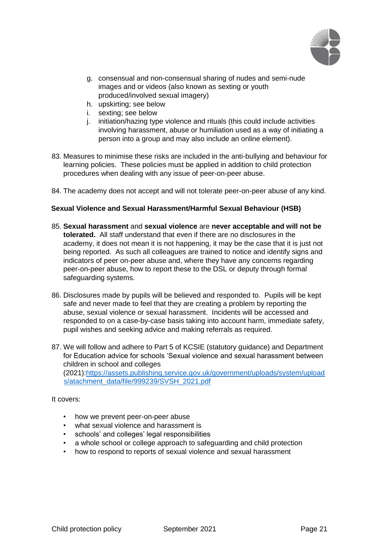

- g. consensual and non-consensual sharing of nudes and semi-nude images and or videos (also known as sexting or youth produced/involved sexual imagery)
- h. upskirting; see below
- i. sexting; see below
- j. initiation/hazing type violence and rituals (this could include activities involving harassment, abuse or humiliation used as a way of initiating a person into a group and may also include an online element).
- 83. Measures to minimise these risks are included in the anti-bullying and behaviour for learning policies. These policies must be applied in addition to child protection procedures when dealing with any issue of peer-on-peer abuse.
- 84. The academy does not accept and will not tolerate peer-on-peer abuse of any kind.

#### **Sexual Violence and Sexual Harassment/Harmful Sexual Behaviour (HSB)**

- 85. **Sexual harassment** and **sexual violence** are **never acceptable and will not be tolerated.** All staff understand that even if there are no disclosures in the academy, it does not mean it is not happening, it may be the case that it is just not being reported. As such all colleagues are trained to notice and identify signs and indicators of peer on-peer abuse and, where they have any concerns regarding peer-on-peer abuse, how to report these to the DSL or deputy through formal safeguarding systems.
- 86. Disclosures made by pupils will be believed and responded to. Pupils will be kept safe and never made to feel that they are creating a problem by reporting the abuse, sexual violence or sexual harassment. Incidents will be accessed and responded to on a case-by-case basis taking into account harm, immediate safety, pupil wishes and seeking advice and making referrals as required.
- 87. We will follow and adhere to Part 5 of KCSIE (statutory guidance) and Department for Education advice for schools 'Sexual violence and sexual harassment between children in school and colleges (2021)[:https://assets.publishing.service.gov.uk/government/uploads/system/upload](https://assets.publishing.service.gov.uk/government/uploads/system/uploads/atachment_data/file/999239/SVSH_2021.pdf)  [s/atachment\\_data/file/999239/SVSH\\_2021.pdf](https://assets.publishing.service.gov.uk/government/uploads/system/uploads/atachment_data/file/999239/SVSH_2021.pdf)

It covers:

- how we prevent peer-on-peer abuse
- what sexual violence and harassment is
- schools' and colleges' legal responsibilities
- a whole school or college approach to safeguarding and child protection
- how to respond to reports of sexual violence and sexual harassment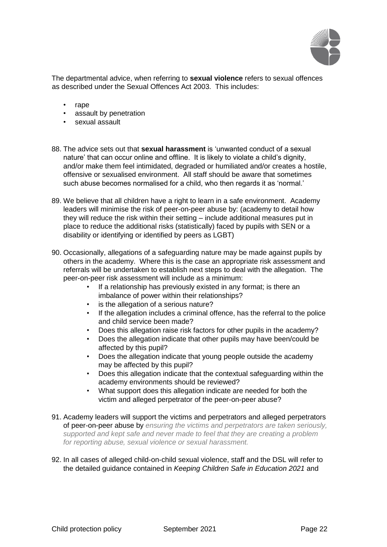

The departmental advice, when referring to **sexual violence** refers to sexual offences as described under the Sexual Offences Act 2003. This includes:

- rape
- assault by penetration
- sexual assault
- 88. The advice sets out that **sexual harassment** is 'unwanted conduct of a sexual nature' that can occur online and offline. It is likely to violate a child's dignity, and/or make them feel intimidated, degraded or humiliated and/or creates a hostile, offensive or sexualised environment. All staff should be aware that sometimes such abuse becomes normalised for a child, who then regards it as 'normal.'
- 89. We believe that all children have a right to learn in a safe environment. Academy leaders will minimise the risk of peer-on-peer abuse by: (academy to detail how they will reduce the risk within their setting – include additional measures put in place to reduce the additional risks (statistically) faced by pupils with SEN or a disability or identifying or identified by peers as LGBT)
- 90. Occasionally, allegations of a safeguarding nature may be made against pupils by others in the academy. Where this is the case an appropriate risk assessment and referrals will be undertaken to establish next steps to deal with the allegation. The peer-on-peer risk assessment will include as a minimum:
	- If a relationship has previously existed in any format; is there an imbalance of power within their relationships?
	- is the allegation of a serious nature?
	- If the allegation includes a criminal offence, has the referral to the police and child service been made?
	- Does this allegation raise risk factors for other pupils in the academy?
	- Does the allegation indicate that other pupils may have been/could be affected by this pupil?
	- Does the allegation indicate that young people outside the academy may be affected by this pupil?
	- Does this allegation indicate that the contextual safeguarding within the academy environments should be reviewed?
	- What support does this allegation indicate are needed for both the victim and alleged perpetrator of the peer-on-peer abuse?
- 91. Academy leaders will support the victims and perpetrators and alleged perpetrators of peer-on-peer abuse by *ensuring the victims and perpetrators are taken seriously, supported and kept safe and never made to feel that they are creating a problem for reporting abuse, sexual violence or sexual harassment.*
- 92. In all cases of alleged child-on-child sexual violence, staff and the DSL will refer to the detailed guidance contained in *Keeping Children Safe in Education 2021* and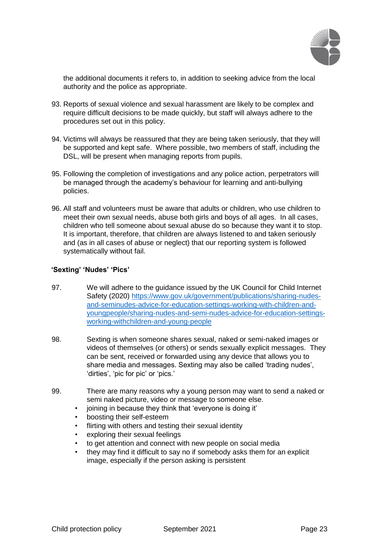

the additional documents it refers to, in addition to seeking advice from the local authority and the police as appropriate.

- 93. Reports of sexual violence and sexual harassment are likely to be complex and require difficult decisions to be made quickly, but staff will always adhere to the procedures set out in this policy.
- 94. Victims will always be reassured that they are being taken seriously, that they will be supported and kept safe. Where possible, two members of staff, including the DSL, will be present when managing reports from pupils.
- 95. Following the completion of investigations and any police action, perpetrators will be managed through the academy's behaviour for learning and anti-bullying policies.
- 96. All staff and volunteers must be aware that adults or children, who use children to meet their own sexual needs, abuse both girls and boys of all ages. In all cases, children who tell someone about sexual abuse do so because they want it to stop. It is important, therefore, that children are always listened to and taken seriously and (as in all cases of abuse or neglect) that our reporting system is followed systematically without fail.

#### **'Sexting' 'Nudes' 'Pics'**

- 97. We will adhere to the guidance issued by the UK Council for Child Internet Safety (2020) [https://www.gov.uk/government/publications/sharing-nudes](https://www.gov.uk/government/publications/sharing-nudes-and-semi-nudes-advice-for-education-settings-working-with-children-and-young-people/sharing-nudes-and-semi-nudes-advice-for-education-settings-working-with-children-and-young-people)[and-seminudes-advice-for-education-settings-working-with-children-and](https://www.gov.uk/government/publications/sharing-nudes-and-semi-nudes-advice-for-education-settings-working-with-children-and-young-people/sharing-nudes-and-semi-nudes-advice-for-education-settings-working-with-children-and-young-people)[youngpeople/sharing-nudes-and-semi-nudes-advice-for-education-settings](https://www.gov.uk/government/publications/sharing-nudes-and-semi-nudes-advice-for-education-settings-working-with-children-and-young-people/sharing-nudes-and-semi-nudes-advice-for-education-settings-working-with-children-and-young-people)[working-withchildren-and-young-people](https://www.gov.uk/government/publications/sharing-nudes-and-semi-nudes-advice-for-education-settings-working-with-children-and-young-people/sharing-nudes-and-semi-nudes-advice-for-education-settings-working-with-children-and-young-people)
- 98. Sexting is when someone shares sexual, naked or semi-naked images or videos of themselves (or others) or sends sexually explicit messages. They can be sent, received or forwarded using any device that allows you to share media and messages. Sexting may also be called 'trading nudes', 'dirties', 'pic for pic' or 'pics.'
- 99. There are many reasons why a young person may want to send a naked or semi naked picture, video or message to someone else.
	- joining in because they think that 'everyone is doing it'
	- boosting their self-esteem
	- flirting with others and testing their sexual identity
	- exploring their sexual feelings
	- to get attention and connect with new people on social media
	- they may find it difficult to say no if somebody asks them for an explicit image, especially if the person asking is persistent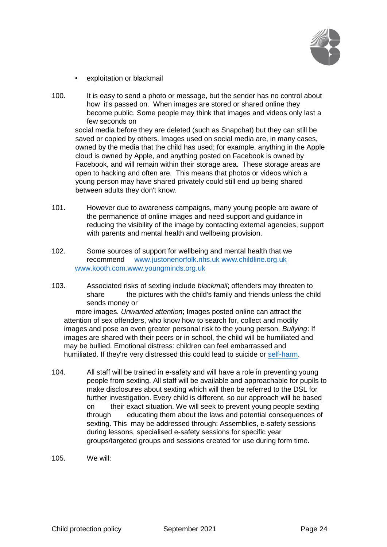

- exploitation or blackmail
- 100. It is easy to send a photo or message, but the sender has no control about how it's passed on. When images are stored or shared online they become public. Some people may think that images and videos only last a few seconds on

social media before they are deleted (such as Snapchat) but they can still be saved or copied by others. Images used on social media are, in many cases, owned by the media that the child has used; for example, anything in the Apple cloud is owned by Apple, and anything posted on Facebook is owned by Facebook, and will remain within their storage area. These storage areas are open to hacking and often are. This means that photos or videos which a young person may have shared privately could still end up being shared between adults they don't know.

- 101. However due to awareness campaigns, many young people are aware of the permanence of online images and need support and guidance in reducing the visibility of the image by contacting external agencies, support with parents and mental health and wellbeing provision.
- 102. Some sources of support for wellbeing and mental health that we recommend [www.justonenorfolk.nhs.uk](http://www.justonenorfolk.nhs.uk/) [www.childline.org.uk](http://www.childline.org.uk/) [www.kooth.com.www.youngminds.org.uk](http://www.kooth.com.www.youngminds.org.uk/)
- 103. Associated risks of sexting include *blackmail*; offenders may threaten to share the pictures with the child's family and friends unless the child sends money or

 more images. *Unwanted attention*; Images posted online can attract the attention of sex offenders, who know how to search for, collect and modify images and pose an even greater personal risk to the young person. *Bullying*: If images are shared with their peers or in school, the child will be humiliated and may be bullied. Emotional distress: children can feel embarrassed and humiliated. If they're very distressed this could lead to suicide or [self-harm.](https://www.nspcc.org.uk/preventing-abuse/keeping-children-safe/self-harm/)

- 104. All staff will be trained in e-safety and will have a role in preventing young people from sexting. All staff will be available and approachable for pupils to make disclosures about sexting which will then be referred to the DSL for further investigation. Every child is different, so our approach will be based on their exact situation. We will seek to prevent young people sexting through educating them about the laws and potential consequences of sexting. This may be addressed through: Assemblies, e-safety sessions during lessons, specialised e-safety sessions for specific year groups/targeted groups and sessions created for use during form time.
- 105. We will: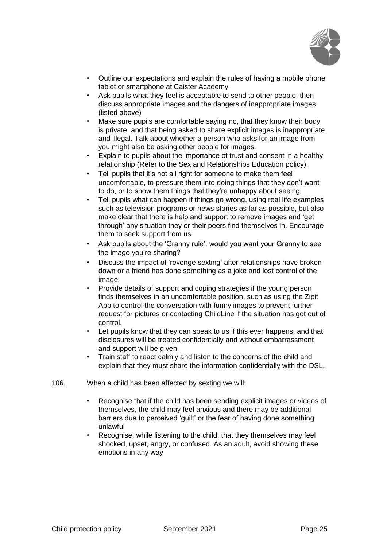

- Outline our expectations and explain the rules of having a mobile phone tablet or smartphone at Caister Academy
- Ask pupils what they feel is acceptable to send to other people, then discuss appropriate images and the dangers of inappropriate images (listed above)
- Make sure pupils are comfortable saying no, that they know their body is private, and that being asked to share explicit images is inappropriate and illegal. Talk about whether a person who asks for an image from you might also be asking other people for images.
- Explain to pupils about the importance of trust and consent in a healthy relationship (Refer to the Sex and Relationships Education policy).
- Tell pupils that it's not all right for someone to make them feel uncomfortable, to pressure them into doing things that they don't want to do, or to show them things that they're unhappy about seeing.
- Tell pupils what can happen if things go wrong, using real life examples such as television programs or news stories as far as possible, but also make clear that there is help and support to remove images and 'get through' any situation they or their peers find themselves in. Encourage them to seek support from us.
- Ask pupils about the 'Granny rule'; would you want your Granny to see the image you're sharing?
- Discuss the impact of 'revenge sexting' after relationships have broken down or a friend has done something as a joke and lost control of the image.
- Provide details of support and coping strategies if the young person finds themselves in an uncomfortable position, such as using the Zipit App to control the conversation with funny images to prevent further request for pictures or contacting ChildLine if the situation has got out of control.
- Let pupils know that they can speak to us if this ever happens, and that disclosures will be treated confidentially and without embarrassment and support will be given.
- Train staff to react calmly and listen to the concerns of the child and explain that they must share the information confidentially with the DSL.
- 106. When a child has been affected by sexting we will:
	- Recognise that if the child has been sending explicit images or videos of themselves, the child may feel anxious and there may be additional barriers due to perceived 'guilt' or the fear of having done something unlawful
	- Recognise, while listening to the child, that they themselves may feel shocked, upset, angry, or confused. As an adult, avoid showing these emotions in any way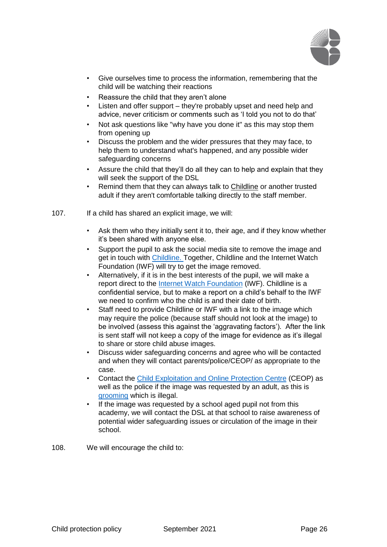

- Give ourselves time to process the information, remembering that the child will be watching their reactions
- Reassure the child that they aren't alone
- Listen and offer support they're probably upset and need help and advice, never criticism or comments such as 'I told you not to do that'
- Not ask questions like "why have you done it" as this may stop them from opening up
- Discuss the problem and the wider pressures that they may face, to help them to understand what's happened, and any possible wider safeguarding concerns
- Assure the child that they'll do all they can to help and explain that they will seek the support of the DSL
- Remind them that they can always talk t[o](https://www.childline.org.uk/get-support/) [Childline](https://www.childline.org.uk/get-support/) [o](https://www.childline.org.uk/get-support/)r another trusted adult if they aren't comfortable talking directly to the staff member.
- 107. If a child has shared an explicit image, we will:
	- Ask them who they initially sent it to, their age, and if they know whether it's been shared with anyone else.
	- Support the pupil to ask the social media site to remove the image and get in touch with [Childline.](https://www.childline.org.uk/get-support/) Together, Childline and the Internet Watch Foundation (IWF) will try to get the image removed.
	- Alternatively, if it is in the best interests of the pupil, we will make a report direct to the [Internet Watch Foundation](https://www.iwf.org.uk/report) (IWF). Childline is a confidential service, but to make a report on a child's behalf to the IWF we need to confirm who the child is and their date of birth.
	- Staff need to provide Childline or IWF with a link to the image which may require the police (because staff should not look at the image) to be involved (assess this against the 'aggravating factors'). After the link is sent staff will not keep a copy of the image for evidence as it's illegal to share or store child abuse images.
	- Discuss wider safeguarding concerns and agree who will be contacted and when they will contact parents/police/CEOP/ as appropriate to the case.
	- Contact the [Child Exploitation and Online Protection Centre](http://www.ceop.police.uk/safety-centre/) (CEOP) as well as the police if the image was requested by an adult, as this is [grooming](https://www.nspcc.org.uk/preventing-abuse/child-abuse-and-neglect/grooming/) [w](https://www.nspcc.org.uk/preventing-abuse/child-abuse-and-neglect/grooming/)hich is illegal.
	- If the image was requested by a school aged pupil not from this academy, we will contact the DSL at that school to raise awareness of potential wider safeguarding issues or circulation of the image in their school.
- 108. We will encourage the child to: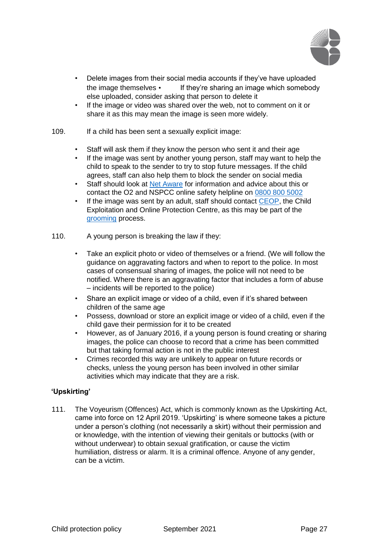

- Delete images from their social media accounts if they've have uploaded the image themselves • If they're sharing an image which somebody else uploaded, consider asking that person to delete it
- If the image or video was shared over the web, not to comment on it or share it as this may mean the image is seen more widely.
- 109. If a child has been sent a sexually explicit image:
	- Staff will ask them if they know the person who sent it and their age
	- If the image was sent by another young person, staff may want to help the child to speak to the sender to try to stop future messages. If the child agrees, staff can also help them to block the sender on social media
	- S[t](https://www.net-aware.org.uk/)aff should look at [Net Aware](https://www.net-aware.org.uk/) [f](https://www.net-aware.org.uk/)or information and advice about this or contact the O2 and NSPCC online safety helpline on 0800 800 5002
	- If [t](http://www.ceop.police.uk/safety-centre/)he image was sent by an adult, staff should contact [CEOP,](http://www.ceop.police.uk/safety-centre/) the Child Exploitation and Online Protection Centre, as this may be part of the [grooming](https://www.nspcc.org.uk/preventing-abuse/child-abuse-and-neglect/grooming/) [p](https://www.nspcc.org.uk/preventing-abuse/child-abuse-and-neglect/grooming/)rocess.
- 110. A young person is breaking the law if they:
	- Take an explicit photo or video of themselves or a friend. (We will follow the guidance on aggravating factors and when to report to the police. In most cases of consensual sharing of images, the police will not need to be notified. Where there is an aggravating factor that includes a form of abuse – incidents will be reported to the police)
	- Share an explicit image or video of a child, even if it's shared between children of the same age
	- Possess, download or store an explicit image or video of a child, even if the child gave their permission for it to be created
	- However, as of January 2016, if a young person is found creating or sharing images, the police can choose to record that a crime has been committed but that taking formal action is not in the public interest
	- Crimes recorded this way are unlikely to appear on future records or checks, unless the young person has been involved in other similar activities which may indicate that they are a risk.

## **'Upskirting'**

111. The Voyeurism (Offences) Act, which is commonly known as the Upskirting Act, came into force on 12 April 2019. 'Upskirting' is where someone takes a picture under a person's clothing (not necessarily a skirt) without their permission and or knowledge, with the intention of viewing their genitals or buttocks (with or without underwear) to obtain sexual gratification, or cause the victim humiliation, distress or alarm. It is a criminal offence. Anyone of any gender, can be a victim.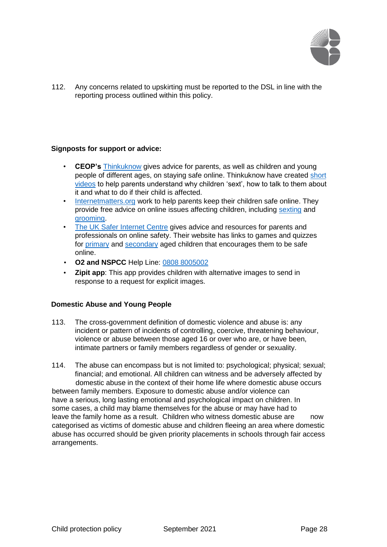

112. Any concerns related to upskirting must be reported to the DSL in line with the reporting process outlined within this policy.

## **Signposts for support or advice:**

- **CEOP's** [Thinkuknow](http://www.thinkuknow.co.uk/) gives advice for parents, as well as children and young people of different ages, on staying safe online. Thinkuknow have created [short](https://www.thinkuknow.co.uk/parents/articles/Nude-selfies-a-parents-guide/) [videos](https://www.thinkuknow.co.uk/parents/articles/Nude-selfies-a-parents-guide/) [t](https://www.thinkuknow.co.uk/parents/articles/Nude-selfies-a-parents-guide/)o help parents understand why children 'sext', how to talk to them about it and what to do if their child is affected.
- [Internetmatters.org](http://www.internetmatters.org/) [w](http://www.internetmatters.org/)ork to help parents keep their children safe online. They provide free advice on online issues affecting children, including [sexting](http://www.internetmatters.org/issues/sexting/) and [grooming.](http://www.internetmatters.org/issues/online-grooming/)
- [The UK Safer Internet Centre](http://www.saferinternet.org.uk/) gives advice and resources for parents and professionals on online safety. Their website has links to games and quizzes for [primary](http://www.saferinternet.org.uk/advice-and-resources/young-people/3-11s) and [secondary](http://www.saferinternet.org.uk/advice-and-resources/young-people/11-19s) [a](http://www.saferinternet.org.uk/advice-and-resources/young-people/11-19s)ged children that encourages them to be safe online.
- **O2 and NSPCC** Help Line: 0808 8005002
- **Zipit app**: This app provides children with alternative images to send in response to a request for explicit images.

## **Domestic Abuse and Young People**

- 113. The cross-government definition of domestic violence and abuse is: any incident or pattern of incidents of controlling, coercive, threatening behaviour, violence or abuse between those aged 16 or over who are, or have been, intimate partners or family members regardless of gender or sexuality.
- 114. The abuse can encompass but is not limited to: psychological; physical; sexual; financial; and emotional. All children can witness and be adversely affected by domestic abuse in the context of their home life where domestic abuse occurs between family members. Exposure to domestic abuse and/or violence can have a serious, long lasting emotional and psychological impact on children. In some cases, a child may blame themselves for the abuse or may have had to leave the family home as a result. Children who witness domestic abuse are now categorised as victims of domestic abuse and children fleeing an area where domestic abuse has occurred should be given priority placements in schools through fair access arrangements.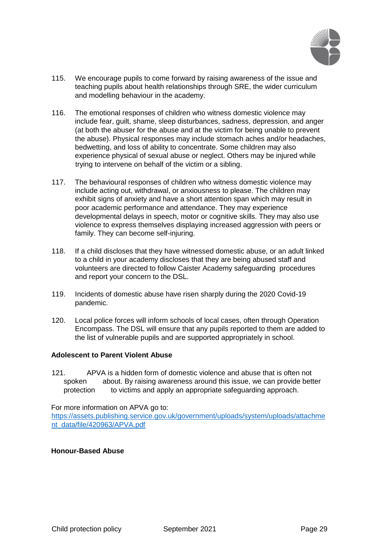

- 115. We encourage pupils to come forward by raising awareness of the issue and teaching pupils about health relationships through SRE, the wider curriculum and modelling behaviour in the academy.
- 116. The emotional responses of children who witness domestic violence may include fear, guilt, shame, sleep disturbances, sadness, depression, and anger (at both the abuser for the abuse and at the victim for being unable to prevent the abuse). Physical responses may include stomach aches and/or headaches, bedwetting, and loss of ability to concentrate. Some children may also experience physical of sexual abuse or neglect. Others may be injured while trying to intervene on behalf of the victim or a sibling.
- 117. The behavioural responses of children who witness domestic violence may include acting out, withdrawal, or anxiousness to please. The children may exhibit signs of anxiety and have a short attention span which may result in poor academic performance and attendance. They may experience developmental delays in speech, motor or cognitive skills. They may also use violence to express themselves displaying increased aggression with peers or family. They can become self-injuring.
- 118. If a child discloses that they have witnessed domestic abuse, or an adult linked to a child in your academy discloses that they are being abused staff and volunteers are directed to follow Caister Academy safeguarding procedures and report your concern to the DSL.
- 119. Incidents of domestic abuse have risen sharply during the 2020 Covid-19 pandemic.
- 120. Local police forces will inform schools of local cases, often through Operation Encompass. The DSL will ensure that any pupils reported to them are added to the list of vulnerable pupils and are supported appropriately in school.

## **Adolescent to Parent Violent Abuse**

121. APVA is a hidden form of domestic violence and abuse that is often not spoken about. By raising awareness around this issue, we can provide better protection to victims and apply an appropriate safeguarding approach.

For more information on APVA go to:

[https://assets.publishing.service.gov.uk/government/uploads/system/uploads/attachme](https://assets.publishing.service.gov.uk/government/uploads/system/uploads/attachment_data/file/420963/APVA.pdf)  [nt\\_data/file/420963/APVA.pdf](https://assets.publishing.service.gov.uk/government/uploads/system/uploads/attachment_data/file/420963/APVA.pdf)

## **Honour-Based Abuse**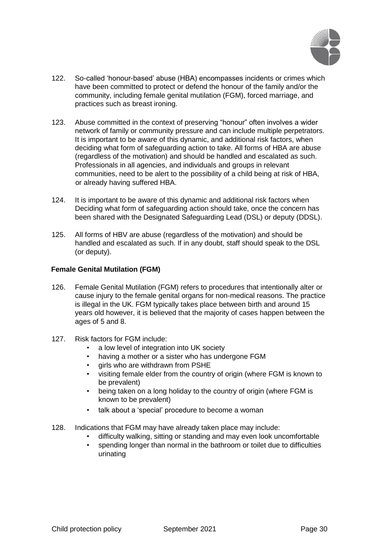

- 122. So-called 'honour-based' abuse (HBA) encompasses incidents or crimes which have been committed to protect or defend the honour of the family and/or the community, including female genital mutilation (FGM), forced marriage, and practices such as breast ironing.
- 123. Abuse committed in the context of preserving "honour" often involves a wider network of family or community pressure and can include multiple perpetrators. It is important to be aware of this dynamic, and additional risk factors, when deciding what form of safeguarding action to take. All forms of HBA are abuse (regardless of the motivation) and should be handled and escalated as such. Professionals in all agencies, and individuals and groups in relevant communities, need to be alert to the possibility of a child being at risk of HBA, or already having suffered HBA.
- 124. It is important to be aware of this dynamic and additional risk factors when Deciding what form of safeguarding action should take, once the concern has been shared with the Designated Safeguarding Lead (DSL) or deputy (DDSL).
- 125. All forms of HBV are abuse (regardless of the motivation) and should be handled and escalated as such. If in any doubt, staff should speak to the DSL (or deputy).

## **Female Genital Mutilation (FGM)**

- 126. Female Genital Mutilation (FGM) refers to procedures that intentionally alter or cause injury to the female genital organs for non-medical reasons. The practice is illegal in the UK. FGM typically takes place between birth and around 15 years old however, it is believed that the majority of cases happen between the ages of 5 and 8.
- 127. Risk factors for FGM include:
	- a low level of integration into UK society
	- having a mother or a sister who has undergone FGM
	- girls who are withdrawn from PSHE
	- visiting female elder from the country of origin (where FGM is known to be prevalent)
	- being taken on a long holiday to the country of origin (where FGM is known to be prevalent)
	- talk about a 'special' procedure to become a woman
- 128. Indications that FGM may have already taken place may include:
	- difficulty walking, sitting or standing and may even look uncomfortable
	- spending longer than normal in the bathroom or toilet due to difficulties urinating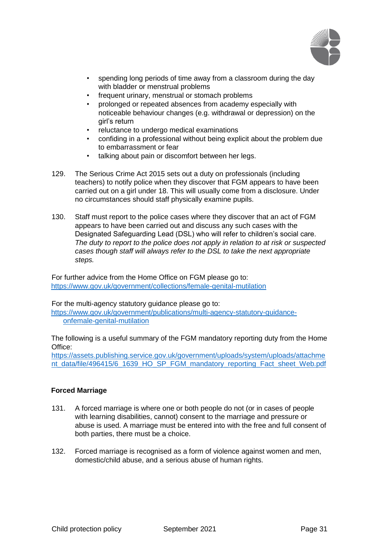

- spending long periods of time away from a classroom during the day with bladder or menstrual problems
- frequent urinary, menstrual or stomach problems
- prolonged or repeated absences from academy especially with noticeable behaviour changes (e.g. withdrawal or depression) on the girl's return
- reluctance to undergo medical examinations
- confiding in a professional without being explicit about the problem due to embarrassment or fear
- talking about pain or discomfort between her legs.
- 129. The Serious Crime Act 2015 sets out a duty on professionals (including teachers) to notify police when they discover that FGM appears to have been carried out on a girl under 18. This will usually come from a disclosure. Under no circumstances should staff physically examine pupils.
- 130. Staff must report to the police cases where they discover that an act of FGM appears to have been carried out and discuss any such cases with the Designated Safeguarding Lead (DSL) who will refer to children's social care. *The duty to report to the police does not apply in relation to at risk or suspected cases though staff will always refer to the DSL to take the next appropriate steps.*

For further advice from the Home Office on FGM please go to: <https://www.gov.uk/government/collections/female-genital-mutilation>

For the multi-agency statutory guidance please go to: [https://www.gov.uk/government/publications/multi-agency-statutory-guidance-](https://www.gov.uk/government/publications/multi-agency-statutory-guidance-on-female-genital-mutilation)

[onfemale-genital-mutilation](https://www.gov.uk/government/publications/multi-agency-statutory-guidance-on-female-genital-mutilation)

The following is a useful summary of the FGM mandatory reporting duty from the Home Office:

[https://assets.publishing.service.gov.uk/government/uploads/system/uploads/attachme](https://assets.publishing.service.gov.uk/government/uploads/system/uploads/attachment_data/file/496415/6_1639_HO_SP_FGM_mandatory_reporting_Fact_sheet_Web.pdf)  [nt\\_data/file/496415/6\\_1639\\_HO\\_SP\\_FGM\\_mandatory\\_reporting\\_Fact\\_sheet\\_Web.pdf](https://assets.publishing.service.gov.uk/government/uploads/system/uploads/attachment_data/file/496415/6_1639_HO_SP_FGM_mandatory_reporting_Fact_sheet_Web.pdf)

# **Forced Marriage**

- 131. A forced marriage is where one or both people do not (or in cases of people with learning disabilities, cannot) consent to the marriage and pressure or abuse is used. A marriage must be entered into with the free and full consent of both parties, there must be a choice.
- 132. Forced marriage is recognised as a form of violence against women and men, domestic/child abuse, and a serious abuse of human rights.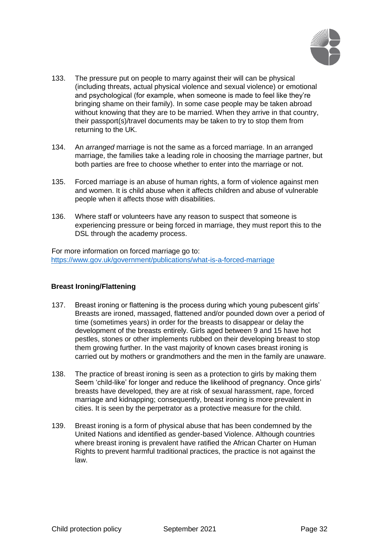

- 133. The pressure put on people to marry against their will can be physical (including threats, actual physical violence and sexual violence) or emotional and psychological (for example, when someone is made to feel like they're bringing shame on their family). In some case people may be taken abroad without knowing that they are to be married. When they arrive in that country, their passport(s)/travel documents may be taken to try to stop them from returning to the UK.
- 134. An *arranged* marriage is not the same as a forced marriage. In an arranged marriage, the families take a leading role in choosing the marriage partner, but both parties are free to choose whether to enter into the marriage or not.
- 135. Forced marriage is an abuse of human rights, a form of violence against men and women. It is child abuse when it affects children and abuse of vulnerable people when it affects those with disabilities.
- 136. Where staff or volunteers have any reason to suspect that someone is experiencing pressure or being forced in marriage, they must report this to the DSL through the academy process.

For more information on forced marriage go to: <https://www.gov.uk/government/publications/what-is-a-forced-marriage>

## **Breast Ironing/Flattening**

- 137. Breast ironing or flattening is the process during which young pubescent girls' Breasts are ironed, massaged, flattened and/or pounded down over a period of time (sometimes years) in order for the breasts to disappear or delay the development of the breasts entirely. Girls aged between 9 and 15 have hot pestles, stones or other implements rubbed on their developing breast to stop them growing further. In the vast majority of known cases breast ironing is carried out by mothers or grandmothers and the men in the family are unaware.
- 138. The practice of breast ironing is seen as a protection to girls by making them Seem 'child-like' for longer and reduce the likelihood of pregnancy. Once girls' breasts have developed, they are at risk of sexual harassment, rape, forced marriage and kidnapping; consequently, breast ironing is more prevalent in cities. It is seen by the perpetrator as a protective measure for the child.
- 139. Breast ironing is a form of physical abuse that has been condemned by the United Nations and identified as gender-based Violence. Although countries where breast ironing is prevalent have ratified the African Charter on Human Rights to prevent harmful traditional practices, the practice is not against the law.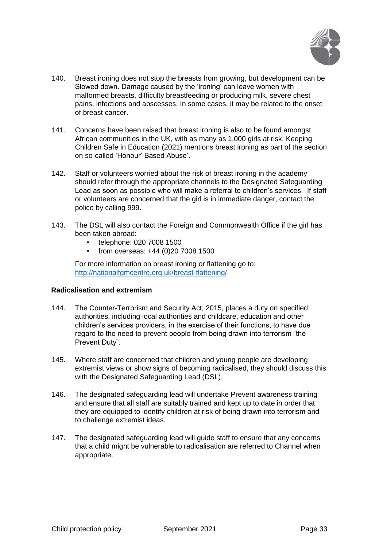

- 140. Breast ironing does not stop the breasts from growing, but development can be Slowed down. Damage caused by the 'ironing' can leave women with malformed breasts, difficulty breastfeeding or producing milk, severe chest pains, infections and abscesses. In some cases, it may be related to the onset of breast cancer.
- 141. Concerns have been raised that breast ironing is also to be found amongst African communities in the UK, with as many as 1,000 girls at risk. Keeping Children Safe in Education (2021) mentions breast ironing as part of the section on so-called 'Honour' Based Abuse'.
- 142. Staff or volunteers worried about the risk of breast ironing in the academy should refer through the appropriate channels to the Designated Safeguarding Lead as soon as possible who will make a referral to children's services. If staff or volunteers are concerned that the girl is in immediate danger, contact the police by calling 999.
- 143. The DSL will also contact the Foreign and Commonwealth Office if the girl has been taken abroad:
	- telephone: 020 7008 1500
	- from overseas: +44 (0)20 7008 1500

For more information on breast ironing or flattening go to: <http://nationalfgmcentre.org.uk/breast-flattening/>

## **Radicalisation and extremism**

- 144. The Counter-Terrorism and Security Act, 2015, places a duty on specified authorities, including local authorities and childcare, education and other children's services providers, in the exercise of their functions, to have due regard to the need to prevent people from being drawn into terrorism "the Prevent Duty".
- 145. Where staff are concerned that children and young people are developing extremist views or show signs of becoming radicalised, they should discuss this with the Designated Safeguarding Lead (DSL).
- 146. The designated safeguarding lead will undertake Prevent awareness training and ensure that all staff are suitably trained and kept up to date in order that they are equipped to identify children at risk of being drawn into terrorism and to challenge extremist ideas.
- 147. The designated safeguarding lead will guide staff to ensure that any concerns that a child might be vulnerable to radicalisation are referred to Channel when appropriate.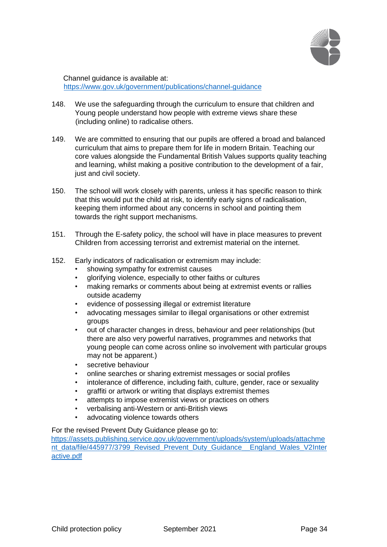

Channel guidance is available at: <https://www.gov.uk/government/publications/channel-guidance>

- 148. We use the safeguarding through the curriculum to ensure that children and Young people understand how people with extreme views share these (including online) to radicalise others.
- 149. We are committed to ensuring that our pupils are offered a broad and balanced curriculum that aims to prepare them for life in modern Britain. Teaching our core values alongside the Fundamental British Values supports quality teaching and learning, whilst making a positive contribution to the development of a fair, just and civil society.
- 150. The school will work closely with parents, unless it has specific reason to think that this would put the child at risk, to identify early signs of radicalisation, keeping them informed about any concerns in school and pointing them towards the right support mechanisms.
- 151. Through the E-safety policy, the school will have in place measures to prevent Children from accessing terrorist and extremist material on the internet.
- 152. Early indicators of radicalisation or extremism may include:
	- showing sympathy for extremist causes
	- glorifying violence, especially to other faiths or cultures
	- making remarks or comments about being at extremist events or rallies outside academy
	- evidence of possessing illegal or extremist literature
	- advocating messages similar to illegal organisations or other extremist groups
	- out of character changes in dress, behaviour and peer relationships (but there are also very powerful narratives, programmes and networks that young people can come across online so involvement with particular groups may not be apparent.)
	- secretive behaviour
	- online searches or sharing extremist messages or social profiles
	- intolerance of difference, including faith, culture, gender, race or sexuality
	- graffiti or artwork or writing that displays extremist themes
	- attempts to impose extremist views or practices on others
	- verbalising anti-Western or anti-British views
	- advocating violence towards others

For the revised Prevent Duty Guidance please go to:

[https://assets.publishing.service.gov.uk/government/uploads/system/uploads/attachme](https://assets.publishing.service.gov.uk/government/uploads/system/uploads/attachment_data/file/445977/3799_Revised_Prevent_Duty_Guidance__England_Wales_V2-Interactive.pdf)  nt data/file/445977/3799 Revised Prevent Duty Guidance England Wales V2Inter [active.pdf](https://assets.publishing.service.gov.uk/government/uploads/system/uploads/attachment_data/file/445977/3799_Revised_Prevent_Duty_Guidance__England_Wales_V2-Interactive.pdf)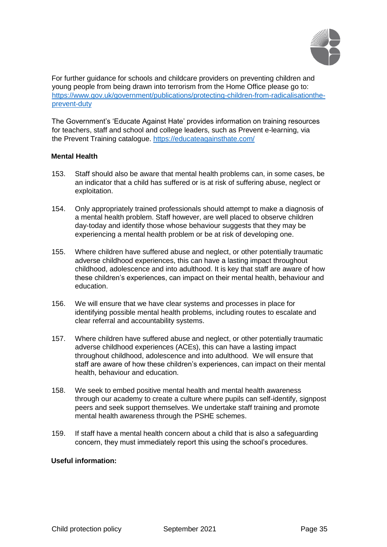

For further guidance for schools and childcare providers on preventing children and young people from being drawn into terrorism from the Home Office please go to: [https://www.gov.uk/government/publications/protecting-children-from-radicalisationthe](https://www.gov.uk/government/publications/protecting-children-from-radicalisation-the-prevent-duty)[prevent-duty](https://www.gov.uk/government/publications/protecting-children-from-radicalisation-the-prevent-duty)

The Government's 'Educate Against Hate' provides information on training resources for teachers, staff and school and college leaders, such as Prevent e-learning, via the Prevent Training catalogue.<https://educateagainsthate.com/>

# **Mental Health**

- 153. Staff should also be aware that mental health problems can, in some cases, be an indicator that a child has suffered or is at risk of suffering abuse, neglect or exploitation.
- 154. Only appropriately trained professionals should attempt to make a diagnosis of a mental health problem. Staff however, are well placed to observe children day-today and identify those whose behaviour suggests that they may be experiencing a mental health problem or be at risk of developing one.
- 155. Where children have suffered abuse and neglect, or other potentially traumatic adverse childhood experiences, this can have a lasting impact throughout childhood, adolescence and into adulthood. It is key that staff are aware of how these children's experiences, can impact on their mental health, behaviour and education.
- 156. We will ensure that we have clear systems and processes in place for identifying possible mental health problems, including routes to escalate and clear referral and accountability systems.
- 157. Where children have suffered abuse and neglect, or other potentially traumatic adverse childhood experiences (ACEs), this can have a lasting impact throughout childhood, adolescence and into adulthood. We will ensure that staff are aware of how these children's experiences, can impact on their mental health, behaviour and education.
- 158. We seek to embed positive mental health and mental health awareness through our academy to create a culture where pupils can self-identify, signpost peers and seek support themselves. We undertake staff training and promote mental health awareness through the PSHE schemes.
- 159. If staff have a mental health concern about a child that is also a safeguarding concern, they must immediately report this using the school's procedures.

## **Useful information:**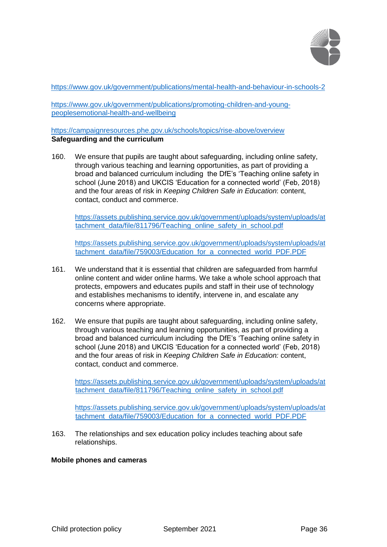

[https://www.gov.uk/government/publications/mental-health-and-behaviour-in-schools-2](https://www.gov.uk/government/publications/mental-health-and-behaviour-in-schools--2)

[https://www.gov.uk/government/publications/promoting-children-and-young](https://www.gov.uk/government/publications/promoting-children-and-young-peoples-emotional-health-and-wellbeing)[peoplesemotional-health-and-wellbeing](https://www.gov.uk/government/publications/promoting-children-and-young-peoples-emotional-health-and-wellbeing)

## <https://campaignresources.phe.gov.uk/schools/topics/rise-above/overview> **Safeguarding and the curriculum**

160. We ensure that pupils are taught about safeguarding, including online safety, through various teaching and learning opportunities, as part of providing a broad and balanced curriculum including the DfE's 'Teaching online safety in school (June 2018) and UKCIS 'Education for a connected world' (Feb, 2018) and the four areas of risk in *Keeping Children Safe in Education*: content, contact, conduct and commerce.

[https://assets.publishing.service.gov.uk/government/uploads/system/uploads/at](https://assets.publishing.service.gov.uk/government/uploads/system/uploads/attachment_data/file/811796/Teaching_online_safety_in_school.pdf)  [tachment\\_data/file/811796/Teaching\\_online\\_safety\\_in\\_school.pdf](https://assets.publishing.service.gov.uk/government/uploads/system/uploads/attachment_data/file/811796/Teaching_online_safety_in_school.pdf)

[https://assets.publishing.service.gov.uk/government/uploads/system/uploads/at](https://assets.publishing.service.gov.uk/government/uploads/system/uploads/attachment_data/file/759003/Education_for_a_connected_world_PDF.PDF)  [tachment\\_data/file/759003/Education\\_for\\_a\\_connected\\_world\\_PDF.PDF](https://assets.publishing.service.gov.uk/government/uploads/system/uploads/attachment_data/file/759003/Education_for_a_connected_world_PDF.PDF)

- 161. We understand that it is essential that children are safeguarded from harmful online content and wider online harms. We take a whole school approach that protects, empowers and educates pupils and staff in their use of technology and establishes mechanisms to identify, intervene in, and escalate any concerns where appropriate.
- 162. We ensure that pupils are taught about safeguarding, including online safety, through various teaching and learning opportunities, as part of providing a broad and balanced curriculum including the DfE's 'Teaching online safety in school (June 2018) and UKCIS 'Education for a connected world' (Feb, 2018) and the four areas of risk in *Keeping Children Safe in Education:* content, contact, conduct and commerce.

[https://assets.publishing.service.gov.uk/government/uploads/system/uploads/at](https://assets.publishing.service.gov.uk/government/uploads/system/uploads/attachment_data/file/811796/Teaching_online_safety_in_school.pdf)  [tachment\\_data/file/811796/Teaching\\_online\\_safety\\_in\\_school.pdf](https://assets.publishing.service.gov.uk/government/uploads/system/uploads/attachment_data/file/811796/Teaching_online_safety_in_school.pdf)

[https://assets.publishing.service.gov.uk/government/uploads/system/uploads/at](https://assets.publishing.service.gov.uk/government/uploads/system/uploads/attachment_data/file/759003/Education_for_a_connected_world_PDF.PDF)  [tachment\\_data/file/759003/Education\\_for\\_a\\_connected\\_world\\_PDF.PDF](https://assets.publishing.service.gov.uk/government/uploads/system/uploads/attachment_data/file/759003/Education_for_a_connected_world_PDF.PDF)

163. The relationships and sex education policy includes teaching about safe relationships.

## **Mobile phones and cameras**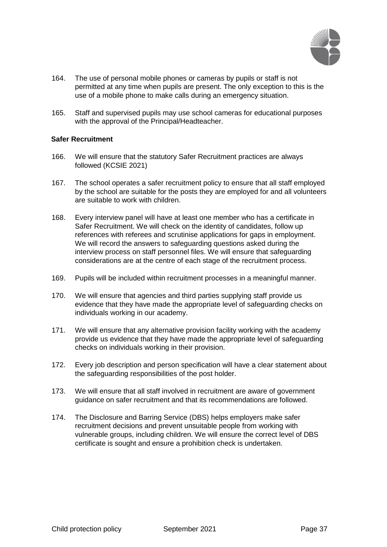

- 164. The use of personal mobile phones or cameras by pupils or staff is not permitted at any time when pupils are present. The only exception to this is the use of a mobile phone to make calls during an emergency situation.
- 165. Staff and supervised pupils may use school cameras for educational purposes with the approval of the Principal/Headteacher.

## **Safer Recruitment**

- 166. We will ensure that the statutory Safer Recruitment practices are always followed (KCSIE 2021)
- 167. The school operates a safer recruitment policy to ensure that all staff employed by the school are suitable for the posts they are employed for and all volunteers are suitable to work with children.
- 168. Every interview panel will have at least one member who has a certificate in Safer Recruitment. We will check on the identity of candidates, follow up references with referees and scrutinise applications for gaps in employment. We will record the answers to safeguarding questions asked during the interview process on staff personnel files. We will ensure that safeguarding considerations are at the centre of each stage of the recruitment process.
- 169. Pupils will be included within recruitment processes in a meaningful manner.
- 170. We will ensure that agencies and third parties supplying staff provide us evidence that they have made the appropriate level of safeguarding checks on individuals working in our academy.
- 171. We will ensure that any alternative provision facility working with the academy provide us evidence that they have made the appropriate level of safeguarding checks on individuals working in their provision.
- 172. Every job description and person specification will have a clear statement about the safeguarding responsibilities of the post holder.
- 173. We will ensure that all staff involved in recruitment are aware of government guidance on safer recruitment and that its recommendations are followed.
- 174. The Disclosure and Barring Service (DBS) helps employers make safer recruitment decisions and prevent unsuitable people from working with vulnerable groups, including children. We will ensure the correct level of DBS certificate is sought and ensure a prohibition check is undertaken.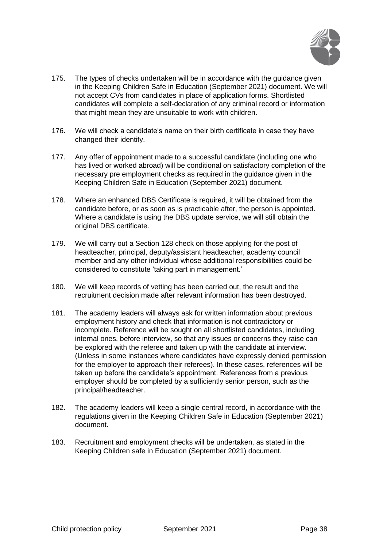

- 175. The types of checks undertaken will be in accordance with the guidance given in the Keeping Children Safe in Education (September 2021) document. We will not accept CVs from candidates in place of application forms. Shortlisted candidates will complete a self-declaration of any criminal record or information that might mean they are unsuitable to work with children.
- 176. We will check a candidate's name on their birth certificate in case they have changed their identify.
- 177. Any offer of appointment made to a successful candidate (including one who has lived or worked abroad) will be conditional on satisfactory completion of the necessary pre employment checks as required in the guidance given in the Keeping Children Safe in Education (September 2021) document.
- 178. Where an enhanced DBS Certificate is required, it will be obtained from the candidate before, or as soon as is practicable after, the person is appointed. Where a candidate is using the DBS update service, we will still obtain the original DBS certificate.
- 179. We will carry out a Section 128 check on those applying for the post of headteacher, principal, deputy/assistant headteacher, academy council member and any other individual whose additional responsibilities could be considered to constitute 'taking part in management.'
- 180. We will keep records of vetting has been carried out, the result and the recruitment decision made after relevant information has been destroyed.
- 181. The academy leaders will always ask for written information about previous employment history and check that information is not contradictory or incomplete. Reference will be sought on all shortlisted candidates, including internal ones, before interview, so that any issues or concerns they raise can be explored with the referee and taken up with the candidate at interview. (Unless in some instances where candidates have expressly denied permission for the employer to approach their referees). In these cases, references will be taken up before the candidate's appointment. References from a previous employer should be completed by a sufficiently senior person, such as the principal/headteacher.
- 182. The academy leaders will keep a single central record, in accordance with the regulations given in the Keeping Children Safe in Education (September 2021) document.
- 183. Recruitment and employment checks will be undertaken, as stated in the Keeping Children safe in Education (September 2021) document.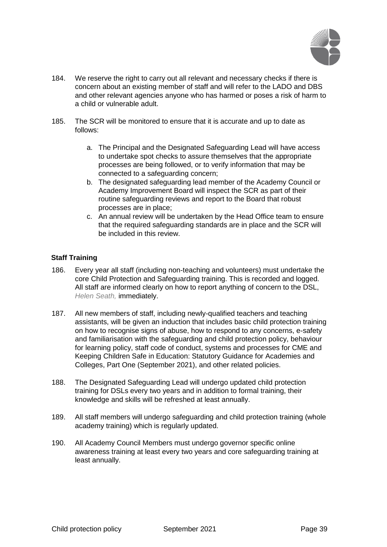

- 184. We reserve the right to carry out all relevant and necessary checks if there is concern about an existing member of staff and will refer to the LADO and DBS and other relevant agencies anyone who has harmed or poses a risk of harm to a child or vulnerable adult.
- 185. The SCR will be monitored to ensure that it is accurate and up to date as follows:
	- a. The Principal and the Designated Safeguarding Lead will have access to undertake spot checks to assure themselves that the appropriate processes are being followed, or to verify information that may be connected to a safeguarding concern;
	- b. The designated safeguarding lead member of the Academy Council or Academy Improvement Board will inspect the SCR as part of their routine safeguarding reviews and report to the Board that robust processes are in place;
	- c. An annual review will be undertaken by the Head Office team to ensure that the required safeguarding standards are in place and the SCR will be included in this review.

# **Staff Training**

- 186. Every year all staff (including non-teaching and volunteers) must undertake the core Child Protection and Safeguarding training. This is recorded and logged. All staff are informed clearly on how to report anything of concern to the DSL, *Helen Seath,* immediately.
- 187. All new members of staff, including newly-qualified teachers and teaching assistants, will be given an induction that includes basic child protection training on how to recognise signs of abuse, how to respond to any concerns, e-safety and familiarisation with the safeguarding and child protection policy, behaviour for learning policy, staff code of conduct, systems and processes for CME and Keeping Children Safe in Education: Statutory Guidance for Academies and Colleges, Part One (September 2021), and other related policies.
- 188. The Designated Safeguarding Lead will undergo updated child protection training for DSLs every two years and in addition to formal training, their knowledge and skills will be refreshed at least annually.
- 189. All staff members will undergo safeguarding and child protection training (whole academy training) which is regularly updated.
- 190. All Academy Council Members must undergo governor specific online awareness training at least every two years and core safeguarding training at least annually.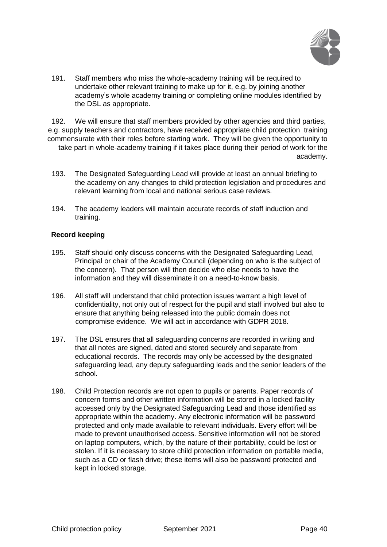

191. Staff members who miss the whole-academy training will be required to undertake other relevant training to make up for it, e.g. by joining another academy's whole academy training or completing online modules identified by the DSL as appropriate.

192. We will ensure that staff members provided by other agencies and third parties, e.g. supply teachers and contractors, have received appropriate child protection training commensurate with their roles before starting work. They will be given the opportunity to take part in whole-academy training if it takes place during their period of work for the academy.

- 193. The Designated Safeguarding Lead will provide at least an annual briefing to the academy on any changes to child protection legislation and procedures and relevant learning from local and national serious case reviews.
- 194. The academy leaders will maintain accurate records of staff induction and training.

## **Record keeping**

- 195. Staff should only discuss concerns with the Designated Safeguarding Lead, Principal or chair of the Academy Council (depending on who is the subject of the concern). That person will then decide who else needs to have the information and they will disseminate it on a need-to-know basis.
- 196. All staff will understand that child protection issues warrant a high level of confidentiality, not only out of respect for the pupil and staff involved but also to ensure that anything being released into the public domain does not compromise evidence. We will act in accordance with GDPR 2018.
- 197. The DSL ensures that all safeguarding concerns are recorded in writing and that all notes are signed, dated and stored securely and separate from educational records. The records may only be accessed by the designated safeguarding lead, any deputy safeguarding leads and the senior leaders of the school.
- 198. Child Protection records are not open to pupils or parents. Paper records of concern forms and other written information will be stored in a locked facility accessed only by the Designated Safeguarding Lead and those identified as appropriate within the academy. Any electronic information will be password protected and only made available to relevant individuals. Every effort will be made to prevent unauthorised access. Sensitive information will not be stored on laptop computers, which, by the nature of their portability, could be lost or stolen. If it is necessary to store child protection information on portable media, such as a CD or flash drive; these items will also be password protected and kept in locked storage.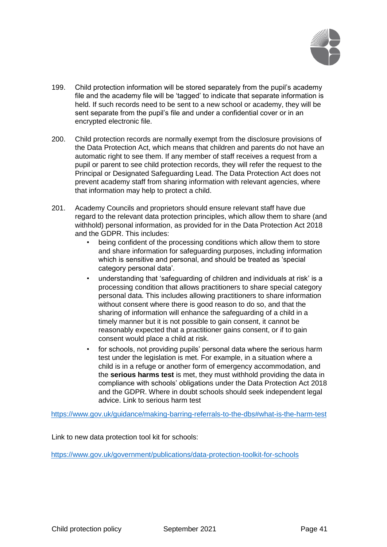

- 199. Child protection information will be stored separately from the pupil's academy file and the academy file will be 'tagged' to indicate that separate information is held. If such records need to be sent to a new school or academy, they will be sent separate from the pupil's file and under a confidential cover or in an encrypted electronic file.
- 200. Child protection records are normally exempt from the disclosure provisions of the Data Protection Act, which means that children and parents do not have an automatic right to see them. If any member of staff receives a request from a pupil or parent to see child protection records, they will refer the request to the Principal or Designated Safeguarding Lead. The Data Protection Act does not prevent academy staff from sharing information with relevant agencies, where that information may help to protect a child.
- 201. Academy Councils and proprietors should ensure relevant staff have due regard to the relevant data protection principles, which allow them to share (and withhold) personal information, as provided for in the Data Protection Act 2018 and the GDPR. This includes:
	- being confident of the processing conditions which allow them to store and share information for safeguarding purposes, including information which is sensitive and personal, and should be treated as 'special category personal data'.
	- understanding that 'safeguarding of children and individuals at risk' is a processing condition that allows practitioners to share special category personal data. This includes allowing practitioners to share information without consent where there is good reason to do so, and that the sharing of information will enhance the safeguarding of a child in a timely manner but it is not possible to gain consent, it cannot be reasonably expected that a practitioner gains consent, or if to gain consent would place a child at risk.
	- for schools, not providing pupils' personal data where the serious harm test under the legislation is met. For example, in a situation where a child is in a refuge or another form of emergency accommodation, and the **serious harms test** is met, they must withhold providing the data in compliance with schools' obligations under the Data Protection Act 2018 and the GDPR. Where in doubt schools should seek independent legal advice. Link to serious harm test

<https://www.gov.uk/guidance/making-barring-referrals-to-the-dbs#what-is-the-harm-test>

Link to new data protection tool kit for schools:

<https://www.gov.uk/government/publications/data-protection-toolkit-for-schools>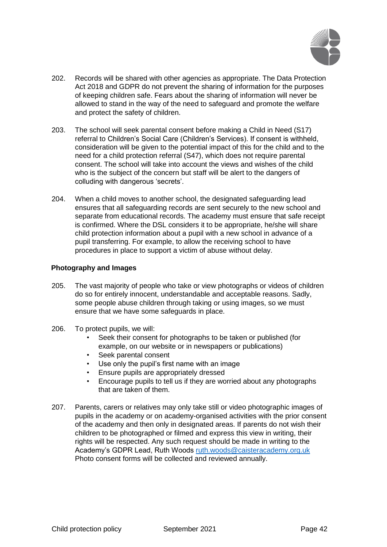

- 202. Records will be shared with other agencies as appropriate. The Data Protection Act 2018 and GDPR do not prevent the sharing of information for the purposes of keeping children safe. Fears about the sharing of information will never be allowed to stand in the way of the need to safeguard and promote the welfare and protect the safety of children.
- 203. The school will seek parental consent before making a Child in Need (S17) referral to Children's Social Care (Children's Services). If consent is withheld, consideration will be given to the potential impact of this for the child and to the need for a child protection referral (S47), which does not require parental consent. The school will take into account the views and wishes of the child who is the subject of the concern but staff will be alert to the dangers of colluding with dangerous 'secrets'.
- 204. When a child moves to another school, the designated safeguarding lead ensures that all safeguarding records are sent securely to the new school and separate from educational records. The academy must ensure that safe receipt is confirmed. Where the DSL considers it to be appropriate, he/she will share child protection information about a pupil with a new school in advance of a pupil transferring. For example, to allow the receiving school to have procedures in place to support a victim of abuse without delay.

## **Photography and Images**

- 205. The vast majority of people who take or view photographs or videos of children do so for entirely innocent, understandable and acceptable reasons. Sadly, some people abuse children through taking or using images, so we must ensure that we have some safeguards in place.
- 206. To protect pupils, we will:
	- Seek their consent for photographs to be taken or published (for example, on our website or in newspapers or publications)
	- Seek parental consent
	- Use only the pupil's first name with an image
	- Ensure pupils are appropriately dressed
	- Encourage pupils to tell us if they are worried about any photographs that are taken of them.
- 207. Parents, carers or relatives may only take still or video photographic images of pupils in the academy or on academy-organised activities with the prior consent of the academy and then only in designated areas. If parents do not wish their children to be photographed or filmed and express this view in writing, their rights will be respected. Any such request should be made in writing to the Academy's GDPR Lead, Ruth Woods ruth.woods@caisteracademy.org.uk Photo consent forms will be collected and reviewed annually.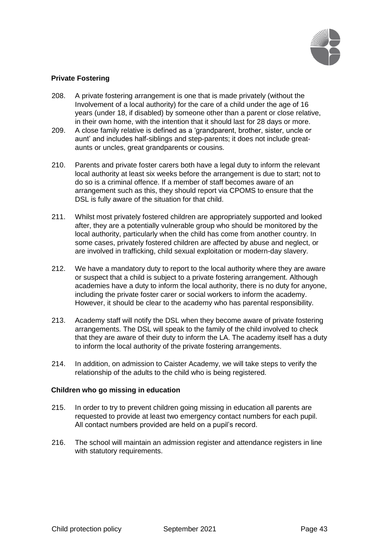

# **Private Fostering**

- 208. A private fostering arrangement is one that is made privately (without the Involvement of a local authority) for the care of a child under the age of 16 years (under 18, if disabled) by someone other than a parent or close relative, in their own home, with the intention that it should last for 28 days or more.
- 209. A close family relative is defined as a 'grandparent, brother, sister, uncle or aunt' and includes half-siblings and step-parents; it does not include greataunts or uncles, great grandparents or cousins.
- 210. Parents and private foster carers both have a legal duty to inform the relevant local authority at least six weeks before the arrangement is due to start; not to do so is a criminal offence. If a member of staff becomes aware of an arrangement such as this, they should report via CPOMS to ensure that the DSL is fully aware of the situation for that child.
- 211. Whilst most privately fostered children are appropriately supported and looked after, they are a potentially vulnerable group who should be monitored by the local authority, particularly when the child has come from another country. In some cases, privately fostered children are affected by abuse and neglect, or are involved in trafficking, child sexual exploitation or modern-day slavery.
- 212. We have a mandatory duty to report to the local authority where they are aware or suspect that a child is subject to a private fostering arrangement. Although academies have a duty to inform the local authority, there is no duty for anyone, including the private foster carer or social workers to inform the academy. However, it should be clear to the academy who has parental responsibility.
- 213. Academy staff will notify the DSL when they become aware of private fostering arrangements. The DSL will speak to the family of the child involved to check that they are aware of their duty to inform the LA. The academy itself has a duty to inform the local authority of the private fostering arrangements.
- 214. In addition, on admission to Caister Academy, we will take steps to verify the relationship of the adults to the child who is being registered.

#### **Children who go missing in education**

- 215. In order to try to prevent children going missing in education all parents are requested to provide at least two emergency contact numbers for each pupil. All contact numbers provided are held on a pupil's record.
- 216. The school will maintain an admission register and attendance registers in line with statutory requirements.